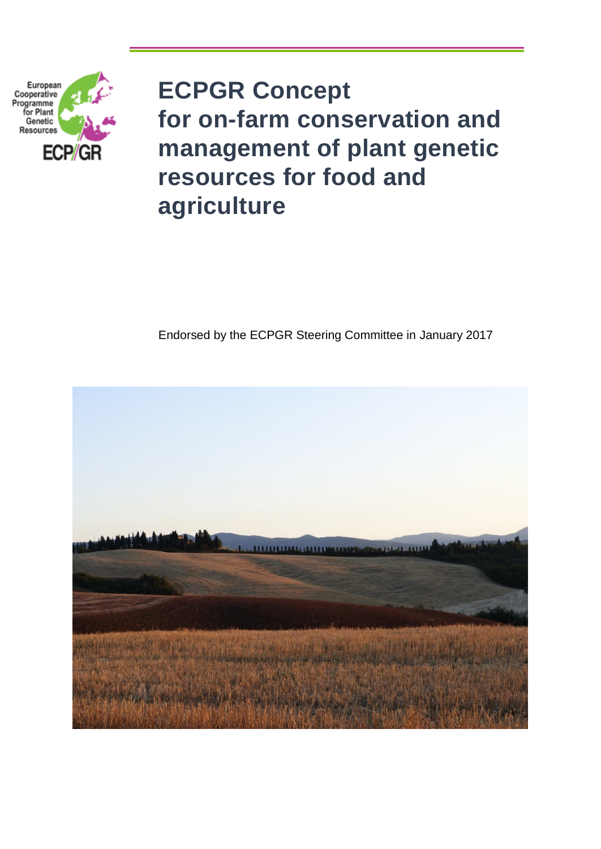

# **ECPGR Concept for on-farm conservation and management of plant genetic resources for food and agriculture**

# Endorsed by the ECPGR Steering Committee in January 2017

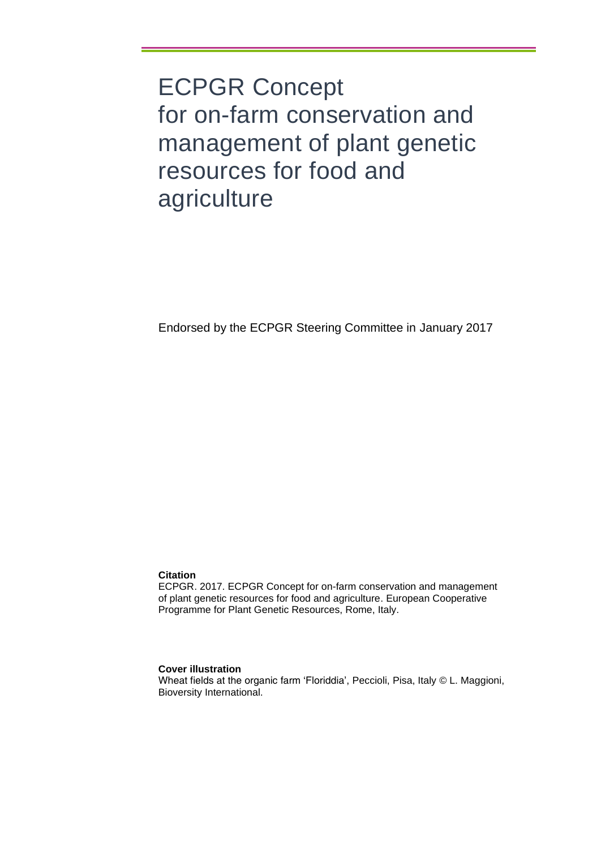ECPGR Concept for on-farm conservation and management of plant genetic resources for food and agriculture

Endorsed by the ECPGR Steering Committee in January 2017

### **Citation**

ECPGR. 2017. ECPGR Concept for on-farm conservation and management of plant genetic resources for food and agriculture. European Cooperative Programme for Plant Genetic Resources, Rome, Italy.

### **Cover illustration**

Wheat fields at the organic farm 'Floriddia', Peccioli, Pisa, Italy © L. Maggioni, Bioversity International.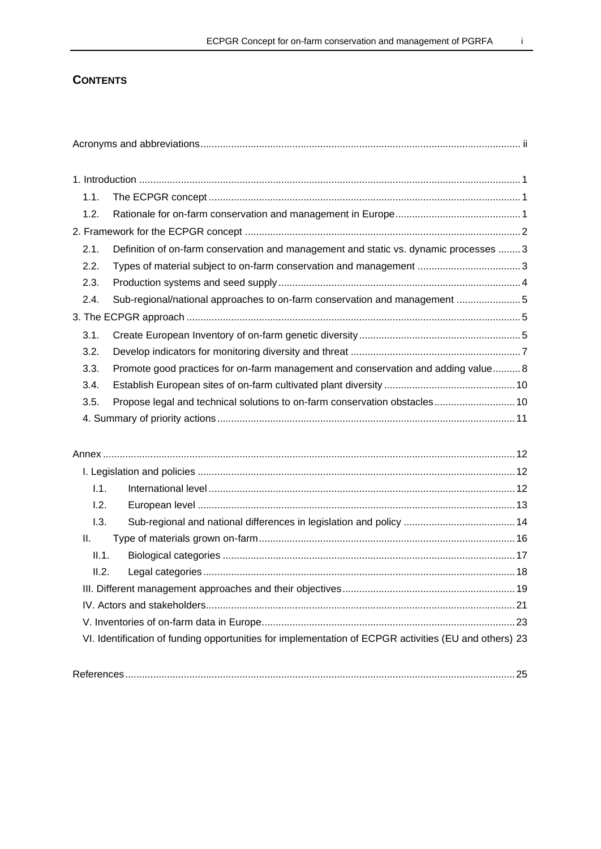### **CONTENTS**

| 1.1.        |                                                                                                       |  |
|-------------|-------------------------------------------------------------------------------------------------------|--|
| 1.2.        |                                                                                                       |  |
|             |                                                                                                       |  |
| 2.1.        | Definition of on-farm conservation and management and static vs. dynamic processes  3                 |  |
| 2.2.        | Types of material subject to on-farm conservation and management 3                                    |  |
| 2.3.        |                                                                                                       |  |
| 2.4.        | Sub-regional/national approaches to on-farm conservation and management 5                             |  |
|             |                                                                                                       |  |
| 3.1.        |                                                                                                       |  |
| 3.2.        |                                                                                                       |  |
| 3.3.        | Promote good practices for on-farm management and conservation and adding value 8                     |  |
| 3.4.        |                                                                                                       |  |
| 3.5.        | Propose legal and technical solutions to on-farm conservation obstacles 10                            |  |
|             |                                                                                                       |  |
|             |                                                                                                       |  |
|             |                                                                                                       |  |
|             |                                                                                                       |  |
| 1.1.        |                                                                                                       |  |
| 1.2.        |                                                                                                       |  |
| 1.3.        |                                                                                                       |  |
| Ш.<br>II.1. |                                                                                                       |  |
| II.2.       |                                                                                                       |  |
|             |                                                                                                       |  |
|             |                                                                                                       |  |
|             |                                                                                                       |  |
|             | VI. Identification of funding opportunities for implementation of ECPGR activities (EU and others) 23 |  |
|             |                                                                                                       |  |
|             |                                                                                                       |  |
|             |                                                                                                       |  |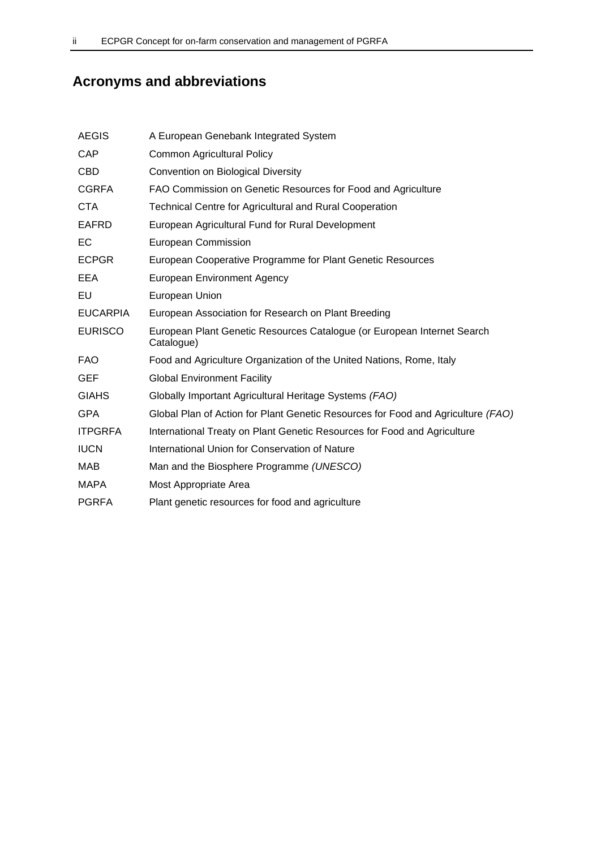# **Acronyms and abbreviations**

| <b>AEGIS</b>    | A European Genebank Integrated System                                                 |
|-----------------|---------------------------------------------------------------------------------------|
| CAP             | <b>Common Agricultural Policy</b>                                                     |
| <b>CBD</b>      | Convention on Biological Diversity                                                    |
| <b>CGRFA</b>    | FAO Commission on Genetic Resources for Food and Agriculture                          |
| <b>CTA</b>      | <b>Technical Centre for Agricultural and Rural Cooperation</b>                        |
| EAFRD           | European Agricultural Fund for Rural Development                                      |
| EC              | <b>European Commission</b>                                                            |
| <b>ECPGR</b>    | European Cooperative Programme for Plant Genetic Resources                            |
| EEA             | <b>European Environment Agency</b>                                                    |
| EU              | European Union                                                                        |
| <b>EUCARPIA</b> | European Association for Research on Plant Breeding                                   |
| <b>EURISCO</b>  | European Plant Genetic Resources Catalogue (or European Internet Search<br>Catalogue) |
| FAO.            | Food and Agriculture Organization of the United Nations, Rome, Italy                  |
| <b>GEF</b>      | <b>Global Environment Facility</b>                                                    |
| <b>GIAHS</b>    | Globally Important Agricultural Heritage Systems (FAO)                                |
| <b>GPA</b>      | Global Plan of Action for Plant Genetic Resources for Food and Agriculture (FAO)      |
| <b>ITPGRFA</b>  | International Treaty on Plant Genetic Resources for Food and Agriculture              |
| <b>IUCN</b>     | International Union for Conservation of Nature                                        |
| MAB             | Man and the Biosphere Programme (UNESCO)                                              |
| <b>MAPA</b>     | Most Appropriate Area                                                                 |
| <b>PGRFA</b>    | Plant genetic resources for food and agriculture                                      |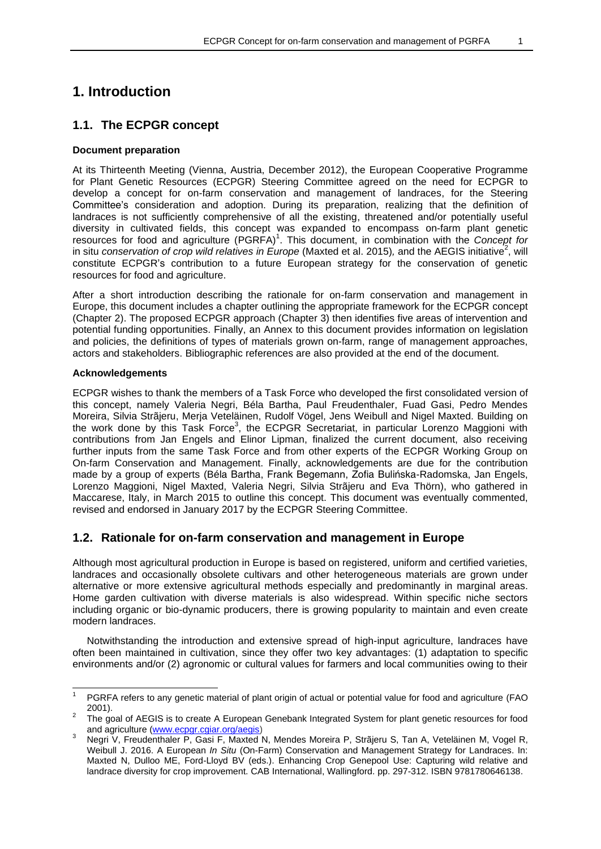## **1. Introduction**

### **1.1. The ECPGR concept**

### **Document preparation**

At its Thirteenth Meeting (Vienna, Austria, December 2012), the European Cooperative Programme for Plant Genetic Resources (ECPGR) Steering Committee agreed on the need for ECPGR to develop a concept for on-farm conservation and management of landraces, for the Steering Committee's consideration and adoption. During its preparation, realizing that the definition of landraces is not sufficiently comprehensive of all the existing, threatened and/or potentially useful diversity in cultivated fields, this concept was expanded to encompass on-farm plant genetic resources for food and agriculture (PGRFA) 1 . This document, in combination with the *Concept for*  in situ *conservation of crop wild relatives in Europe* (Maxted et al. 2015), and the AEGIS initiative<sup>2</sup>, will constitute ECPGR's contribution to a future European strategy for the conservation of genetic resources for food and agriculture.

After a short introduction describing the rationale for on-farm conservation and management in Europe, this document includes a chapter outlining the appropriate framework for the ECPGR concept (Chapter 2). The proposed ECPGR approach (Chapter 3) then identifies five areas of intervention and potential funding opportunities. Finally, an Annex to this document provides information on legislation and policies, the definitions of types of materials grown on-farm, range of management approaches, actors and stakeholders. Bibliographic references are also provided at the end of the document.

#### **Acknowledgements**

ECPGR wishes to thank the members of a Task Force who developed the first consolidated version of this concept, namely Valeria Negri, Béla Bartha, Paul Freudenthaler, Fuad Gasi, Pedro Mendes Moreira, Silvia Strãjeru, Merja Veteläinen, Rudolf Vögel, Jens Weibull and Nigel Maxted. Building on the work done by this Task Force<sup>3</sup>, the ECPGR Secretariat, in particular Lorenzo Maggioni with contributions from Jan Engels and Elinor Lipman, finalized the current document, also receiving further inputs from the same Task Force and from other experts of the ECPGR Working Group on On-farm Conservation and Management. Finally, acknowledgements are due for the contribution made by a group of experts (Béla Bartha, Frank Begemann, Zofia Bulińska-Radomska, Jan Engels, Lorenzo Maggioni, Nigel Maxted, Valeria Negri, Silvia Strãjeru and Eva Thörn), who gathered in Maccarese, Italy, in March 2015 to outline this concept. This document was eventually commented, revised and endorsed in January 2017 by the ECPGR Steering Committee.

### **1.2. Rationale for on-farm conservation and management in Europe**

Although most agricultural production in Europe is based on registered, uniform and certified varieties, landraces and occasionally obsolete cultivars and other heterogeneous materials are grown under alternative or more extensive agricultural methods especially and predominantly in marginal areas. Home garden cultivation with diverse materials is also widespread. Within specific niche sectors including organic or bio-dynamic producers, there is growing popularity to maintain and even create modern landraces.

Notwithstanding the introduction and extensive spread of high-input agriculture, landraces have often been maintained in cultivation, since they offer two key advantages: (1) adaptation to specific environments and/or (2) agronomic or cultural values for farmers and local communities owing to their

<sup>1</sup> PGRFA refers to any genetic material of plant origin of actual or potential value for food and agriculture (FAO 2001).

<sup>2</sup> The goal of AEGIS is to create A European Genebank Integrated System for plant genetic resources for food and agriculture [\(www.ecpgr.cgiar.org/aegis\)](file:///C:/Users/elipman.CGIARAD/Documents/ECPGR/CONCEPTS%20in%20situ%20on-farm/On-farm/www.ecpgr.cgiar.org/aegis)

<sup>3</sup> Negri V, Freudenthaler P, Gasi F, Maxted N, Mendes Moreira P, Strãjeru S, Tan A, Veteläinen M, Vogel R, Weibull J. 2016. A European *In Situ* (On-Farm) Conservation and Management Strategy for Landraces. In: Maxted N, Dulloo ME, Ford-Lloyd BV (eds.). Enhancing Crop Genepool Use: Capturing wild relative and landrace diversity for crop improvement. CAB International, Wallingford. pp. 297-312. ISBN 9781780646138.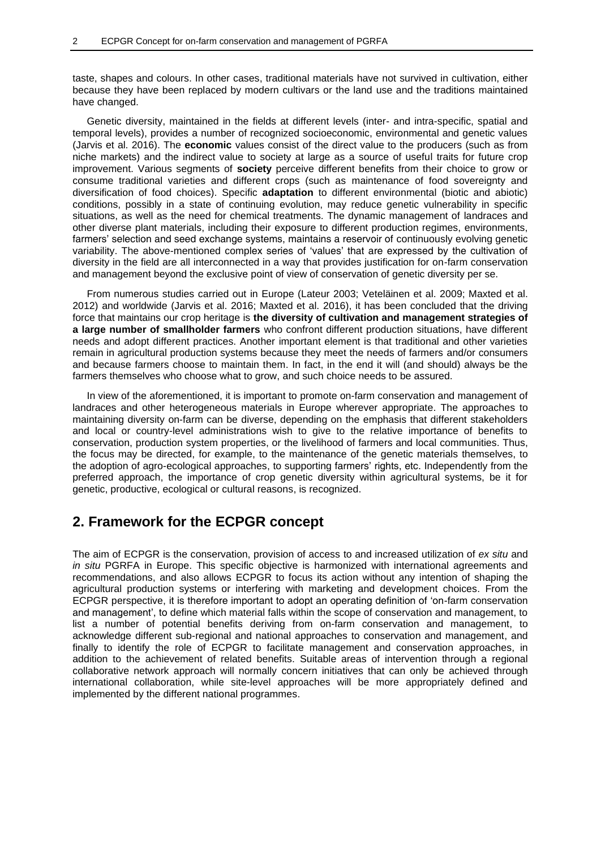taste, shapes and colours. In other cases, traditional materials have not survived in cultivation, either because they have been replaced by modern cultivars or the land use and the traditions maintained have changed.

Genetic diversity, maintained in the fields at different levels (inter- and intra-specific, spatial and temporal levels), provides a number of recognized socioeconomic, environmental and genetic values (Jarvis et al. 2016). The **economic** values consist of the direct value to the producers (such as from niche markets) and the indirect value to society at large as a source of useful traits for future crop improvement. Various segments of **society** perceive different benefits from their choice to grow or consume traditional varieties and different crops (such as maintenance of food sovereignty and diversification of food choices). Specific **adaptation** to different environmental (biotic and abiotic) conditions, possibly in a state of continuing evolution, may reduce genetic vulnerability in specific situations, as well as the need for chemical treatments. The dynamic management of landraces and other diverse plant materials, including their exposure to different production regimes, environments, farmers' selection and seed exchange systems, maintains a reservoir of continuously evolving genetic variability. The above-mentioned complex series of 'values' that are expressed by the cultivation of diversity in the field are all interconnected in a way that provides justification for on-farm conservation and management beyond the exclusive point of view of conservation of genetic diversity per se.

From numerous studies carried out in Europe (Lateur 2003; Veteläinen et al. 2009; Maxted et al. 2012) and worldwide (Jarvis et al. 2016; Maxted et al. 2016), it has been concluded that the driving force that maintains our crop heritage is **the diversity of cultivation and management strategies of a large number of smallholder farmers** who confront different production situations, have different needs and adopt different practices. Another important element is that traditional and other varieties remain in agricultural production systems because they meet the needs of farmers and/or consumers and because farmers choose to maintain them. In fact, in the end it will (and should) always be the farmers themselves who choose what to grow, and such choice needs to be assured.

In view of the aforementioned, it is important to promote on-farm conservation and management of landraces and other heterogeneous materials in Europe wherever appropriate. The approaches to maintaining diversity on-farm can be diverse, depending on the emphasis that different stakeholders and local or country-level administrations wish to give to the relative importance of benefits to conservation, production system properties, or the livelihood of farmers and local communities. Thus, the focus may be directed, for example, to the maintenance of the genetic materials themselves, to the adoption of agro-ecological approaches, to supporting farmers' rights, etc. Independently from the preferred approach, the importance of crop genetic diversity within agricultural systems, be it for genetic, productive, ecological or cultural reasons, is recognized.

### **2. Framework for the ECPGR concept**

The aim of ECPGR is the conservation, provision of access to and increased utilization of *ex situ* and *in situ* PGRFA in Europe. This specific objective is harmonized with international agreements and recommendations, and also allows ECPGR to focus its action without any intention of shaping the agricultural production systems or interfering with marketing and development choices. From the ECPGR perspective, it is therefore important to adopt an operating definition of 'on-farm conservation and management', to define which material falls within the scope of conservation and management, to list a number of potential benefits deriving from on-farm conservation and management, to acknowledge different sub-regional and national approaches to conservation and management, and finally to identify the role of ECPGR to facilitate management and conservation approaches, in addition to the achievement of related benefits. Suitable areas of intervention through a regional collaborative network approach will normally concern initiatives that can only be achieved through international collaboration, while site-level approaches will be more appropriately defined and implemented by the different national programmes.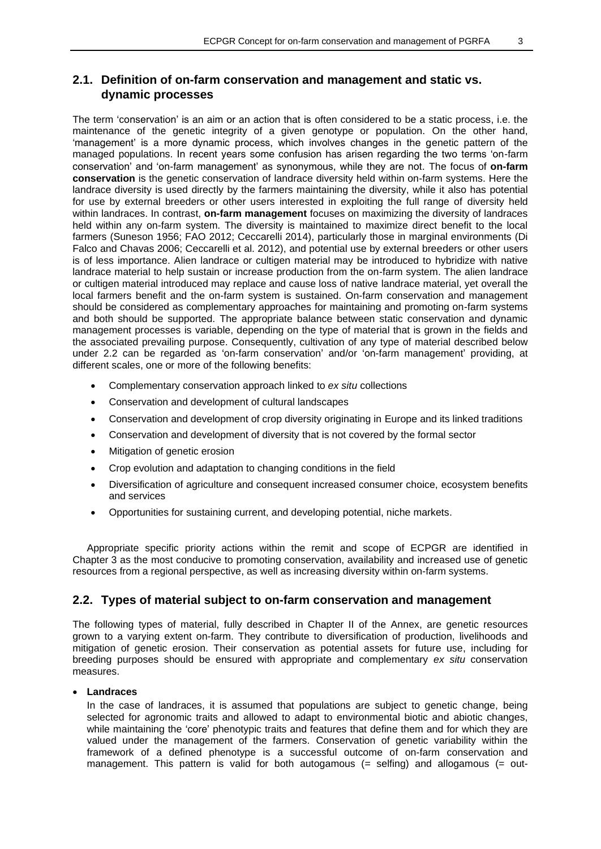### **2.1. Definition of on-farm conservation and management and static vs. dynamic processes**

The term 'conservation' is an aim or an action that is often considered to be a static process, i.e. the maintenance of the genetic integrity of a given genotype or population. On the other hand, 'management' is a more dynamic process, which involves changes in the genetic pattern of the managed populations. In recent years some confusion has arisen regarding the two terms 'on-farm conservation' and 'on-farm management' as synonymous, while they are not. The focus of **on-farm conservation** is the genetic conservation of landrace diversity held within on-farm systems. Here the landrace diversity is used directly by the farmers maintaining the diversity, while it also has potential for use by external breeders or other users interested in exploiting the full range of diversity held within landraces. In contrast, **on-farm management** focuses on maximizing the diversity of landraces held within any on-farm system. The diversity is maintained to maximize direct benefit to the local farmers (Suneson 1956; FAO 2012; Ceccarelli 2014), particularly those in marginal environments (Di Falco and Chavas 2006; Ceccarelli et al. 2012), and potential use by external breeders or other users is of less importance. Alien landrace or cultigen material may be introduced to hybridize with native landrace material to help sustain or increase production from the on-farm system. The alien landrace or cultigen material introduced may replace and cause loss of native landrace material, yet overall the local farmers benefit and the on-farm system is sustained. On-farm conservation and management should be considered as complementary approaches for maintaining and promoting on-farm systems and both should be supported. The appropriate balance between static conservation and dynamic management processes is variable, depending on the type of material that is grown in the fields and the associated prevailing purpose. Consequently, cultivation of any type of material described below under 2.2 can be regarded as 'on-farm conservation' and/or 'on-farm management' providing, at different scales, one or more of the following benefits:

- Complementary conservation approach linked to *ex situ* collections
- Conservation and development of cultural landscapes
- Conservation and development of crop diversity originating in Europe and its linked traditions
- Conservation and development of diversity that is not covered by the formal sector
- Mitigation of genetic erosion
- Crop evolution and adaptation to changing conditions in the field
- Diversification of agriculture and consequent increased consumer choice, ecosystem benefits and services
- Opportunities for sustaining current, and developing potential, niche markets.

Appropriate specific priority actions within the remit and scope of ECPGR are identified in Chapter 3 as the most conducive to promoting conservation, availability and increased use of genetic resources from a regional perspective, as well as increasing diversity within on-farm systems.

### **2.2. Types of material subject to on-farm conservation and management**

The following types of material, fully described in Chapter II of the Annex, are genetic resources grown to a varying extent on-farm. They contribute to diversification of production, livelihoods and mitigation of genetic erosion. Their conservation as potential assets for future use, including for breeding purposes should be ensured with appropriate and complementary *ex situ* conservation measures.

### **Landraces**

In the case of landraces, it is assumed that populations are subject to genetic change, being selected for agronomic traits and allowed to adapt to environmental biotic and abiotic changes, while maintaining the 'core' phenotypic traits and features that define them and for which they are valued under the management of the farmers. Conservation of genetic variability within the framework of a defined phenotype is a successful outcome of on-farm conservation and management. This pattern is valid for both autogamous (= selfing) and allogamous (= out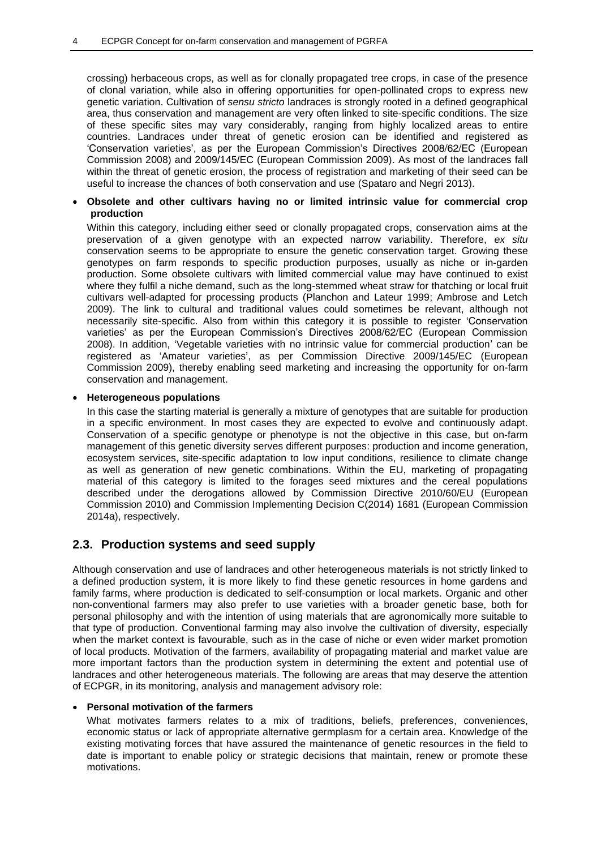crossing) herbaceous crops, as well as for clonally propagated tree crops, in case of the presence of clonal variation, while also in offering opportunities for open-pollinated crops to express new genetic variation. Cultivation of *sensu stricto* landraces is strongly rooted in a defined geographical area, thus conservation and management are very often linked to site-specific conditions. The size of these specific sites may vary considerably, ranging from highly localized areas to entire countries. Landraces under threat of genetic erosion can be identified and registered as 'Conservation varieties', as per the European Commission's Directives 2008/62/EC (European Commission 2008) and 2009/145/EC (European Commission 2009). As most of the landraces fall within the threat of genetic erosion, the process of registration and marketing of their seed can be useful to increase the chances of both conservation and use (Spataro and Negri 2013).

### **Obsolete and other cultivars having no or limited intrinsic value for commercial crop production**

Within this category, including either seed or clonally propagated crops, conservation aims at the preservation of a given genotype with an expected narrow variability. Therefore, *ex situ* conservation seems to be appropriate to ensure the genetic conservation target. Growing these genotypes on farm responds to specific production purposes, usually as niche or in-garden production. Some obsolete cultivars with limited commercial value may have continued to exist where they fulfil a niche demand, such as the long-stemmed wheat straw for thatching or local fruit cultivars well-adapted for processing products (Planchon and Lateur 1999; Ambrose and Letch 2009). The link to cultural and traditional values could sometimes be relevant, although not necessarily site-specific. Also from within this category it is possible to register 'Conservation varieties' as per the European Commission's Directives 2008/62/EC (European Commission 2008). In addition, 'Vegetable varieties with no intrinsic value for commercial production' can be registered as 'Amateur varieties', as per Commission Directive 2009/145/EC (European Commission 2009), thereby enabling seed marketing and increasing the opportunity for on-farm conservation and management.

### **Heterogeneous populations**

In this case the starting material is generally a mixture of genotypes that are suitable for production in a specific environment. In most cases they are expected to evolve and continuously adapt. Conservation of a specific genotype or phenotype is not the objective in this case, but on-farm management of this genetic diversity serves different purposes: production and income generation, ecosystem services, site-specific adaptation to low input conditions, resilience to climate change as well as generation of new genetic combinations. Within the EU, marketing of propagating material of this category is limited to the forages seed mixtures and the cereal populations described under the derogations allowed by Commission Directive 2010/60/EU (European Commission 2010) and Commission Implementing Decision C(2014) 1681 (European Commission 2014a), respectively.

### **2.3. Production systems and seed supply**

Although conservation and use of landraces and other heterogeneous materials is not strictly linked to a defined production system, it is more likely to find these genetic resources in home gardens and family farms, where production is dedicated to self-consumption or local markets. Organic and other non-conventional farmers may also prefer to use varieties with a broader genetic base, both for personal philosophy and with the intention of using materials that are agronomically more suitable to that type of production. Conventional farming may also involve the cultivation of diversity, especially when the market context is favourable, such as in the case of niche or even wider market promotion of local products. Motivation of the farmers, availability of propagating material and market value are more important factors than the production system in determining the extent and potential use of landraces and other heterogeneous materials. The following are areas that may deserve the attention of ECPGR, in its monitoring, analysis and management advisory role:

### **Personal motivation of the farmers**

What motivates farmers relates to a mix of traditions, beliefs, preferences, conveniences, economic status or lack of appropriate alternative germplasm for a certain area. Knowledge of the existing motivating forces that have assured the maintenance of genetic resources in the field to date is important to enable policy or strategic decisions that maintain, renew or promote these motivations.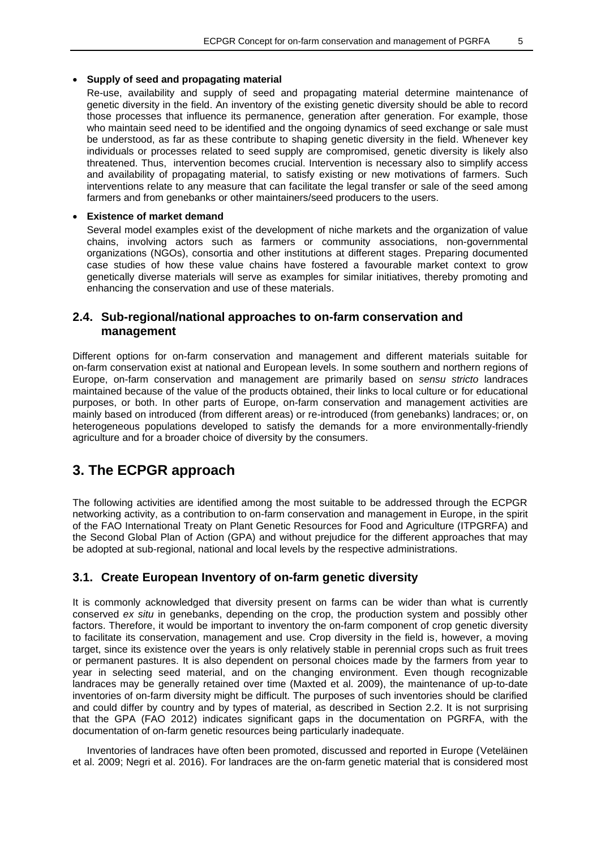#### **Supply of seed and propagating material**

Re-use, availability and supply of seed and propagating material determine maintenance of genetic diversity in the field. An inventory of the existing genetic diversity should be able to record those processes that influence its permanence, generation after generation. For example, those who maintain seed need to be identified and the ongoing dynamics of seed exchange or sale must be understood, as far as these contribute to shaping genetic diversity in the field. Whenever key individuals or processes related to seed supply are compromised, genetic diversity is likely also threatened. Thus, intervention becomes crucial. Intervention is necessary also to simplify access and availability of propagating material, to satisfy existing or new motivations of farmers. Such interventions relate to any measure that can facilitate the legal transfer or sale of the seed among farmers and from genebanks or other maintainers/seed producers to the users.

#### **Existence of market demand**

Several model examples exist of the development of niche markets and the organization of value chains, involving actors such as farmers or community associations, non-governmental organizations (NGOs), consortia and other institutions at different stages. Preparing documented case studies of how these value chains have fostered a favourable market context to grow genetically diverse materials will serve as examples for similar initiatives, thereby promoting and enhancing the conservation and use of these materials.

### **2.4. Sub-regional/national approaches to on-farm conservation and management**

Different options for on-farm conservation and management and different materials suitable for on-farm conservation exist at national and European levels. In some southern and northern regions of Europe, on-farm conservation and management are primarily based on *sensu stricto* landraces maintained because of the value of the products obtained, their links to local culture or for educational purposes, or both. In other parts of Europe, on-farm conservation and management activities are mainly based on introduced (from different areas) or re-introduced (from genebanks) landraces; or, on heterogeneous populations developed to satisfy the demands for a more environmentally-friendly agriculture and for a broader choice of diversity by the consumers.

### **3. The ECPGR approach**

The following activities are identified among the most suitable to be addressed through the ECPGR networking activity, as a contribution to on-farm conservation and management in Europe, in the spirit of the FAO International Treaty on Plant Genetic Resources for Food and Agriculture (ITPGRFA) and the Second Global Plan of Action (GPA) and without prejudice for the different approaches that may be adopted at sub-regional, national and local levels by the respective administrations.

### **3.1. Create European Inventory of on-farm genetic diversity**

It is commonly acknowledged that diversity present on farms can be wider than what is currently conserved *ex situ* in genebanks, depending on the crop, the production system and possibly other factors. Therefore, it would be important to inventory the on-farm component of crop genetic diversity to facilitate its conservation, management and use. Crop diversity in the field is, however, a moving target, since its existence over the years is only relatively stable in perennial crops such as fruit trees or permanent pastures. It is also dependent on personal choices made by the farmers from year to year in selecting seed material, and on the changing environment. Even though recognizable landraces may be generally retained over time (Maxted et al. 2009), the maintenance of up-to-date inventories of on-farm diversity might be difficult. The purposes of such inventories should be clarified and could differ by country and by types of material, as described in Section 2.2. It is not surprising that the GPA (FAO 2012) indicates significant gaps in the documentation on PGRFA, with the documentation of on-farm genetic resources being particularly inadequate.

Inventories of landraces have often been promoted, discussed and reported in Europe (Veteläinen et al. 2009; Negri et al. 2016). For landraces are the on-farm genetic material that is considered most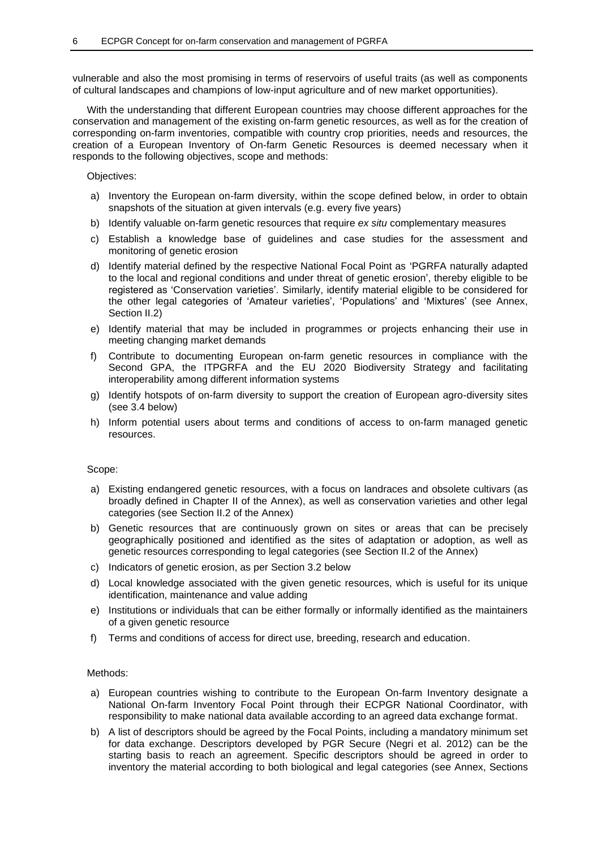vulnerable and also the most promising in terms of reservoirs of useful traits (as well as components of cultural landscapes and champions of low-input agriculture and of new market opportunities).

With the understanding that different European countries may choose different approaches for the conservation and management of the existing on-farm genetic resources, as well as for the creation of corresponding on-farm inventories, compatible with country crop priorities, needs and resources, the creation of a European Inventory of On-farm Genetic Resources is deemed necessary when it responds to the following objectives, scope and methods:

Objectives:

- a) Inventory the European on-farm diversity, within the scope defined below, in order to obtain snapshots of the situation at given intervals (e.g. every five years)
- b) Identify valuable on-farm genetic resources that require *ex situ* complementary measures
- c) Establish a knowledge base of guidelines and case studies for the assessment and monitoring of genetic erosion
- d) Identify material defined by the respective National Focal Point as 'PGRFA naturally adapted to the local and regional conditions and under threat of genetic erosion', thereby eligible to be registered as 'Conservation varieties'. Similarly, identify material eligible to be considered for the other legal categories of 'Amateur varieties', 'Populations' and 'Mixtures' (see Annex, Section II.2)
- e) Identify material that may be included in programmes or projects enhancing their use in meeting changing market demands
- f) Contribute to documenting European on-farm genetic resources in compliance with the Second GPA, the ITPGRFA and the EU 2020 Biodiversity Strategy and facilitating interoperability among different information systems
- g) Identify hotspots of on-farm diversity to support the creation of European agro-diversity sites (see 3.4 below)
- h) Inform potential users about terms and conditions of access to on-farm managed genetic resources.

Scope:

- a) Existing endangered genetic resources, with a focus on landraces and obsolete cultivars (as broadly defined in Chapter II of the Annex), as well as conservation varieties and other legal categories (see Section II.2 of the Annex)
- b) Genetic resources that are continuously grown on sites or areas that can be precisely geographically positioned and identified as the sites of adaptation or adoption, as well as genetic resources corresponding to legal categories (see Section II.2 of the Annex)
- c) Indicators of genetic erosion, as per Section 3.2 below
- d) Local knowledge associated with the given genetic resources, which is useful for its unique identification, maintenance and value adding
- e) Institutions or individuals that can be either formally or informally identified as the maintainers of a given genetic resource
- f) Terms and conditions of access for direct use, breeding, research and education.

Methods:

- a) European countries wishing to contribute to the European On-farm Inventory designate a National On-farm Inventory Focal Point through their ECPGR National Coordinator, with responsibility to make national data available according to an agreed data exchange format.
- b) A list of descriptors should be agreed by the Focal Points, including a mandatory minimum set for data exchange. Descriptors developed by PGR Secure (Negri et al. 2012) can be the starting basis to reach an agreement. Specific descriptors should be agreed in order to inventory the material according to both biological and legal categories (see Annex, Sections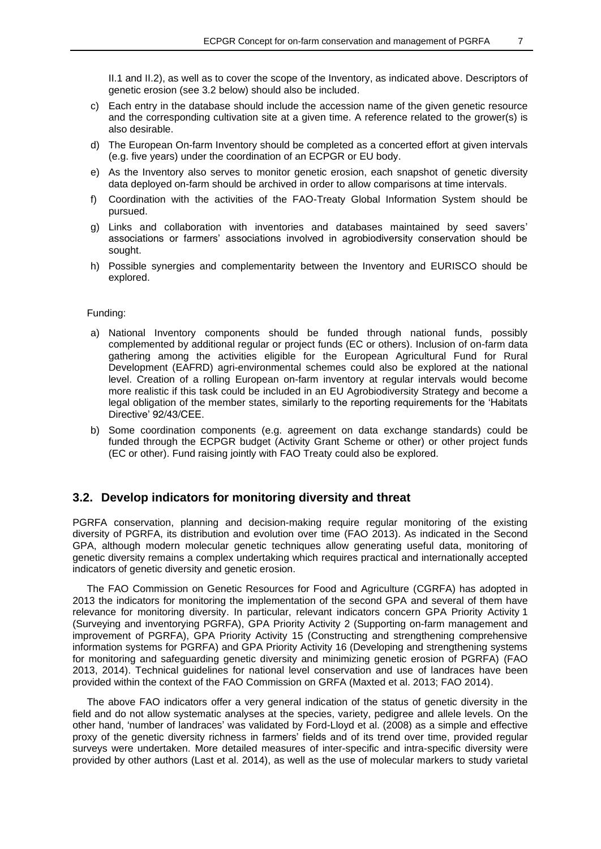II.1 and II.2), as well as to cover the scope of the Inventory, as indicated above. Descriptors of genetic erosion (see 3.2 below) should also be included.

- c) Each entry in the database should include the accession name of the given genetic resource and the corresponding cultivation site at a given time. A reference related to the grower(s) is also desirable.
- d) The European On-farm Inventory should be completed as a concerted effort at given intervals (e.g. five years) under the coordination of an ECPGR or EU body.
- e) As the Inventory also serves to monitor genetic erosion, each snapshot of genetic diversity data deployed on-farm should be archived in order to allow comparisons at time intervals.
- f) Coordination with the activities of the FAO-Treaty Global Information System should be pursued.
- g) Links and collaboration with inventories and databases maintained by seed savers' associations or farmers' associations involved in agrobiodiversity conservation should be sought.
- h) Possible synergies and complementarity between the Inventory and EURISCO should be explored.

#### Funding:

- a) National Inventory components should be funded through national funds, possibly complemented by additional regular or project funds (EC or others). Inclusion of on-farm data gathering among the activities eligible for the European Agricultural Fund for Rural Development (EAFRD) agri-environmental schemes could also be explored at the national level. Creation of a rolling European on-farm inventory at regular intervals would become more realistic if this task could be included in an EU Agrobiodiversity Strategy and become a legal obligation of the member states, similarly to the reporting requirements for the 'Habitats Directive' 92/43/CEE.
- b) Some coordination components (e.g. agreement on data exchange standards) could be funded through the ECPGR budget (Activity Grant Scheme or other) or other project funds (EC or other). Fund raising jointly with FAO Treaty could also be explored.

### **3.2. Develop indicators for monitoring diversity and threat**

PGRFA conservation, planning and decision-making require regular monitoring of the existing diversity of PGRFA, its distribution and evolution over time (FAO 2013). As indicated in the Second GPA, although modern molecular genetic techniques allow generating useful data, monitoring of genetic diversity remains a complex undertaking which requires practical and internationally accepted indicators of genetic diversity and genetic erosion.

The FAO Commission on Genetic Resources for Food and Agriculture (CGRFA) has adopted in 2013 the indicators for monitoring the implementation of the second GPA and several of them have relevance for monitoring diversity. In particular, relevant indicators concern GPA Priority Activity 1 (Surveying and inventorying PGRFA), GPA Priority Activity 2 (Supporting on-farm management and improvement of PGRFA), GPA Priority Activity 15 (Constructing and strengthening comprehensive information systems for PGRFA) and GPA Priority Activity 16 (Developing and strengthening systems for monitoring and safeguarding genetic diversity and minimizing genetic erosion of PGRFA) (FAO 2013, 2014). Technical guidelines for national level conservation and use of landraces have been provided within the context of the FAO Commission on GRFA (Maxted et al. 2013; FAO 2014).

The above FAO indicators offer a very general indication of the status of genetic diversity in the field and do not allow systematic analyses at the species, variety, pedigree and allele levels. On the other hand, 'number of landraces' was validated by Ford-Lloyd et al. (2008) as a simple and effective proxy of the genetic diversity richness in farmers' fields and of its trend over time, provided regular surveys were undertaken. More detailed measures of inter-specific and intra-specific diversity were provided by other authors (Last et al. 2014), as well as the use of molecular markers to study varietal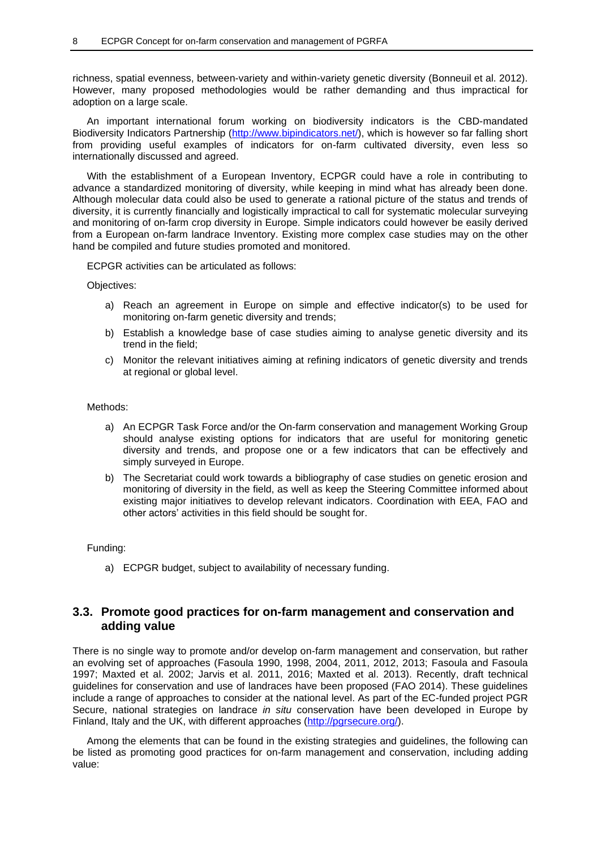richness, spatial evenness, between-variety and within-variety genetic diversity (Bonneuil et al. 2012). However, many proposed methodologies would be rather demanding and thus impractical for adoption on a large scale.

An important international forum working on biodiversity indicators is the CBD-mandated Biodiversity Indicators Partnership (http://www.bipindicators.net/), which is however so far falling short from providing useful examples of indicators for on-farm cultivated diversity, even less so internationally discussed and agreed.

With the establishment of a European Inventory, ECPGR could have a role in contributing to advance a standardized monitoring of diversity, while keeping in mind what has already been done. Although molecular data could also be used to generate a rational picture of the status and trends of diversity, it is currently financially and logistically impractical to call for systematic molecular surveying and monitoring of on-farm crop diversity in Europe. Simple indicators could however be easily derived from a European on-farm landrace Inventory. Existing more complex case studies may on the other hand be compiled and future studies promoted and monitored.

ECPGR activities can be articulated as follows:

Objectives:

- a) Reach an agreement in Europe on simple and effective indicator(s) to be used for monitoring on-farm genetic diversity and trends;
- b) Establish a knowledge base of case studies aiming to analyse genetic diversity and its trend in the field;
- c) Monitor the relevant initiatives aiming at refining indicators of genetic diversity and trends at regional or global level.

#### Methods:

- a) An ECPGR Task Force and/or the On-farm conservation and management Working Group should analyse existing options for indicators that are useful for monitoring genetic diversity and trends, and propose one or a few indicators that can be effectively and simply surveyed in Europe.
- b) The Secretariat could work towards a bibliography of case studies on genetic erosion and monitoring of diversity in the field, as well as keep the Steering Committee informed about existing major initiatives to develop relevant indicators. Coordination with EEA, FAO and other actors' activities in this field should be sought for.

#### Funding:

a) ECPGR budget, subject to availability of necessary funding.

### **3.3. Promote good practices for on-farm management and conservation and adding value**

There is no single way to promote and/or develop on-farm management and conservation, but rather an evolving set of approaches (Fasoula 1990, 1998, 2004, 2011, 2012, 2013; Fasoula and Fasoula 1997; Maxted et al. 2002; Jarvis et al. 2011, 2016; Maxted et al. 2013). Recently, draft technical guidelines for conservation and use of landraces have been proposed (FAO 2014). These guidelines include a range of approaches to consider at the national level. As part of the EC-funded project PGR Secure, national strategies on landrace *in situ* conservation have been developed in Europe by Finland, Italy and the UK, with different approaches [\(http://pgrsecure.org/\)](http://pgrsecure.org/).

Among the elements that can be found in the existing strategies and guidelines, the following can be listed as promoting good practices for on-farm management and conservation, including adding value: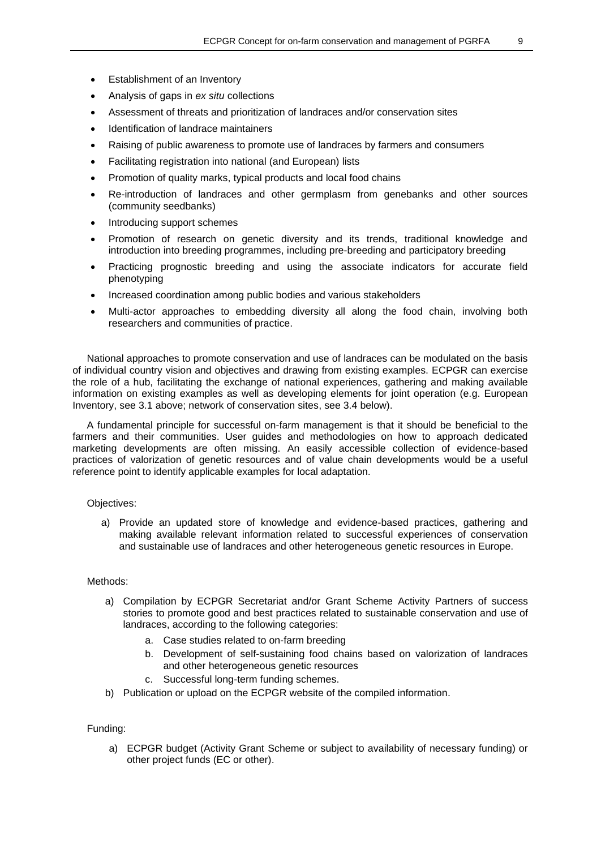- Establishment of an Inventory
- Analysis of gaps in *ex situ* collections
- Assessment of threats and prioritization of landraces and/or conservation sites
- Identification of landrace maintainers
- Raising of public awareness to promote use of landraces by farmers and consumers
- Facilitating registration into national (and European) lists
- Promotion of quality marks, typical products and local food chains
- Re-introduction of landraces and other germplasm from genebanks and other sources (community seedbanks)
- Introducing support schemes
- Promotion of research on genetic diversity and its trends, traditional knowledge and introduction into breeding programmes, including pre-breeding and participatory breeding
- Practicing prognostic breeding and using the associate indicators for accurate field phenotyping
- Increased coordination among public bodies and various stakeholders
- Multi-actor approaches to embedding diversity all along the food chain, involving both researchers and communities of practice.

National approaches to promote conservation and use of landraces can be modulated on the basis of individual country vision and objectives and drawing from existing examples. ECPGR can exercise the role of a hub, facilitating the exchange of national experiences, gathering and making available information on existing examples as well as developing elements for joint operation (e.g. European Inventory, see 3.1 above; network of conservation sites, see 3.4 below).

A fundamental principle for successful on-farm management is that it should be beneficial to the farmers and their communities. User guides and methodologies on how to approach dedicated marketing developments are often missing. An easily accessible collection of evidence-based practices of valorization of genetic resources and of value chain developments would be a useful reference point to identify applicable examples for local adaptation.

### Objectives:

a) Provide an updated store of knowledge and evidence-based practices, gathering and making available relevant information related to successful experiences of conservation and sustainable use of landraces and other heterogeneous genetic resources in Europe.

### Methods:

- a) Compilation by ECPGR Secretariat and/or Grant Scheme Activity Partners of success stories to promote good and best practices related to sustainable conservation and use of landraces, according to the following categories:
	- a. Case studies related to on-farm breeding
	- b. Development of self-sustaining food chains based on valorization of landraces and other heterogeneous genetic resources
	- c. Successful long-term funding schemes.
- b) Publication or upload on the ECPGR website of the compiled information.

### Funding:

a) ECPGR budget (Activity Grant Scheme or subject to availability of necessary funding) or other project funds (EC or other).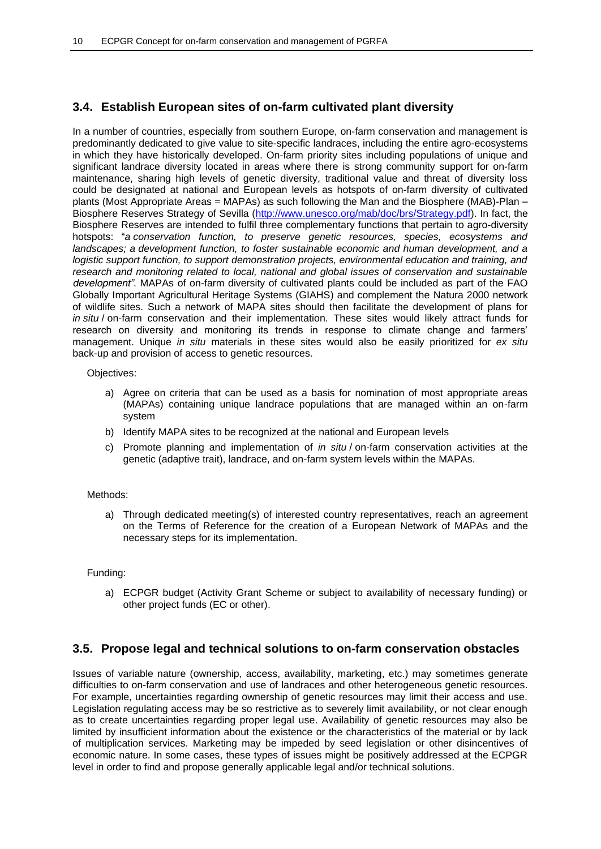### **3.4. Establish European sites of on-farm cultivated plant diversity**

In a number of countries, especially from southern Europe, on-farm conservation and management is predominantly dedicated to give value to site-specific landraces, including the entire agro-ecosystems in which they have historically developed. On-farm priority sites including populations of unique and significant landrace diversity located in areas where there is strong community support for on-farm maintenance, sharing high levels of genetic diversity, traditional value and threat of diversity loss could be designated at national and European levels as hotspots of on-farm diversity of cultivated plants (Most Appropriate Areas = MAPAs) as such following the Man and the Biosphere (MAB)-Plan – Biosphere Reserves Strategy of Sevilla [\(http://www.unesco.org/mab/doc/brs/Strategy.pdf\)](http://www.unesco.org/mab/doc/brs/Strategy.pdf). In fact, the Biosphere Reserves are intended to fulfil three complementary functions that pertain to agro-diversity hotspots: "*a conservation function, to preserve genetic resources, species, ecosystems and landscapes; a development function, to foster sustainable economic and human development, and a logistic support function, to support demonstration projects, environmental education and training, and research and monitoring related to local, national and global issues of conservation and sustainable development"*. MAPAs of on-farm diversity of cultivated plants could be included as part of the FAO Globally Important Agricultural Heritage Systems (GIAHS) and complement the Natura 2000 network of wildlife sites. Such a network of MAPA sites should then facilitate the development of plans for *in situ* / on-farm conservation and their implementation. These sites would likely attract funds for research on diversity and monitoring its trends in response to climate change and farmers' management. Unique *in situ* materials in these sites would also be easily prioritized for *ex situ* back-up and provision of access to genetic resources.

### Objectives:

- a) Agree on criteria that can be used as a basis for nomination of most appropriate areas (MAPAs) containing unique landrace populations that are managed within an on-farm system
- b) Identify MAPA sites to be recognized at the national and European levels
- c) Promote planning and implementation of *in situ* / on-farm conservation activities at the genetic (adaptive trait), landrace, and on-farm system levels within the MAPAs.

### Methods:

a) Through dedicated meeting(s) of interested country representatives, reach an agreement on the Terms of Reference for the creation of a European Network of MAPAs and the necessary steps for its implementation.

### Funding:

a) ECPGR budget (Activity Grant Scheme or subject to availability of necessary funding) or other project funds (EC or other).

### **3.5. Propose legal and technical solutions to on-farm conservation obstacles**

Issues of variable nature (ownership, access, availability, marketing, etc.) may sometimes generate difficulties to on-farm conservation and use of landraces and other heterogeneous genetic resources. For example, uncertainties regarding ownership of genetic resources may limit their access and use. Legislation regulating access may be so restrictive as to severely limit availability, or not clear enough as to create uncertainties regarding proper legal use. Availability of genetic resources may also be limited by insufficient information about the existence or the characteristics of the material or by lack of multiplication services. Marketing may be impeded by seed legislation or other disincentives of economic nature. In some cases, these types of issues might be positively addressed at the ECPGR level in order to find and propose generally applicable legal and/or technical solutions.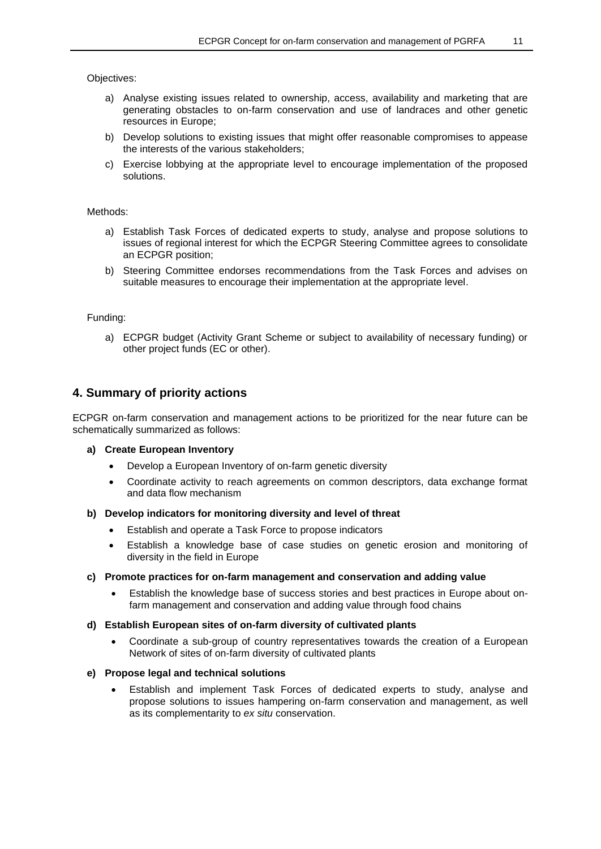Objectives:

- a) Analyse existing issues related to ownership, access, availability and marketing that are generating obstacles to on-farm conservation and use of landraces and other genetic resources in Europe;
- b) Develop solutions to existing issues that might offer reasonable compromises to appease the interests of the various stakeholders;
- c) Exercise lobbying at the appropriate level to encourage implementation of the proposed solutions.

### Methods:

- a) Establish Task Forces of dedicated experts to study, analyse and propose solutions to issues of regional interest for which the ECPGR Steering Committee agrees to consolidate an ECPGR position;
- b) Steering Committee endorses recommendations from the Task Forces and advises on suitable measures to encourage their implementation at the appropriate level.

### Funding:

a) ECPGR budget (Activity Grant Scheme or subject to availability of necessary funding) or other project funds (EC or other).

### **4. Summary of priority actions**

ECPGR on-farm conservation and management actions to be prioritized for the near future can be schematically summarized as follows:

### **a) Create European Inventory**

- Develop a European Inventory of on-farm genetic diversity
- Coordinate activity to reach agreements on common descriptors, data exchange format and data flow mechanism

### **b) Develop indicators for monitoring diversity and level of threat**

- Establish and operate a Task Force to propose indicators
- Establish a knowledge base of case studies on genetic erosion and monitoring of diversity in the field in Europe

### **c) Promote practices for on-farm management and conservation and adding value**

 Establish the knowledge base of success stories and best practices in Europe about onfarm management and conservation and adding value through food chains

### **d) Establish European sites of on-farm diversity of cultivated plants**

 Coordinate a sub-group of country representatives towards the creation of a European Network of sites of on-farm diversity of cultivated plants

### **e) Propose legal and technical solutions**

 Establish and implement Task Forces of dedicated experts to study, analyse and propose solutions to issues hampering on-farm conservation and management, as well as its complementarity to *ex situ* conservation.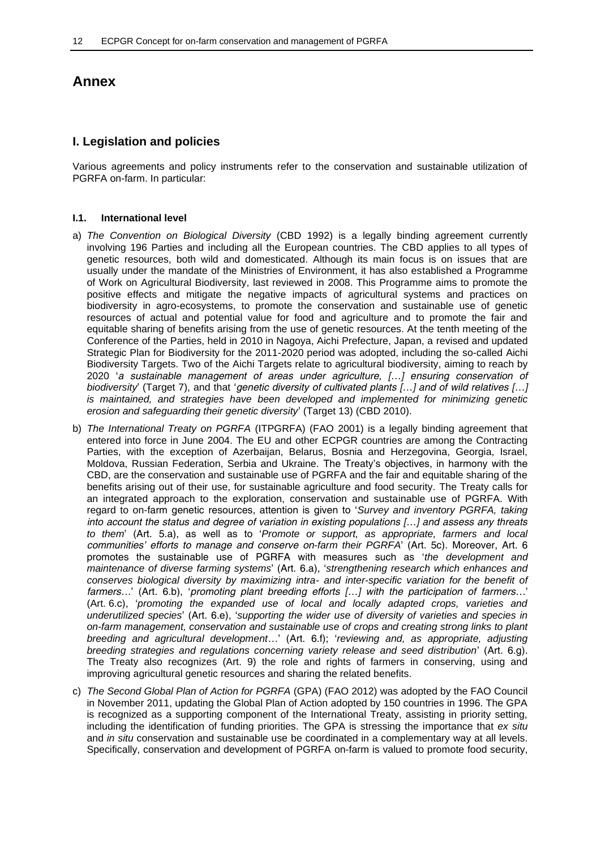### **Annex**

### **I. Legislation and policies**

Various agreements and policy instruments refer to the conservation and sustainable utilization of PGRFA on-farm. In particular:

### **I.1. International level**

- a) *The Convention on Biological Diversity* (CBD 1992) is a legally binding agreement currently involving 196 Parties and including all the European countries. The CBD applies to all types of genetic resources, both wild and domesticated. Although its main focus is on issues that are usually under the mandate of the Ministries of Environment, it has also established a Programme of Work on Agricultural Biodiversity, last reviewed in 2008. This Programme aims to promote the positive effects and mitigate the negative impacts of agricultural systems and practices on biodiversity in agro-ecosystems, to promote the conservation and sustainable use of genetic resources of actual and potential value for food and agriculture and to promote the fair and equitable sharing of benefits arising from the use of genetic resources. At the tenth meeting of the Conference of the Parties, held in 2010 in Nagoya, Aichi Prefecture, Japan, a revised and updated Strategic Plan for Biodiversity for the 2011-2020 period was adopted, including the so-called Aichi Biodiversity Targets. Two of the Aichi Targets relate to agricultural biodiversity, aiming to reach by 2020 '*a sustainable management of areas under agriculture, […] ensuring conservation of biodiversity*' (Target 7), and that '*genetic diversity of cultivated plants […] and of wild relatives […] is maintained, and strategies have been developed and implemented for minimizing genetic erosion and safeguarding their genetic diversity*' (Target 13) (CBD 2010).
- b) *The International Treaty on PGRFA* (ITPGRFA) (FAO 2001) is a legally binding agreement that entered into force in June 2004. The EU and other ECPGR countries are among the Contracting Parties, with the exception of Azerbaijan, Belarus, Bosnia and Herzegovina, Georgia, Israel, Moldova, Russian Federation, Serbia and Ukraine. The Treaty's objectives, in harmony with the CBD, are the conservation and sustainable use of PGRFA and the fair and equitable sharing of the benefits arising out of their use, for sustainable agriculture and food security. The Treaty calls for an integrated approach to the exploration, conservation and sustainable use of PGRFA. With regard to on-farm genetic resources, attention is given to '*Survey and inventory PGRFA, taking into account the status and degree of variation in existing populations […] and assess any threats to them*' (Art. 5.a), as well as to '*Promote or support, as appropriate, farmers and local communities' efforts to manage and conserve on-farm their PGRFA*' (Art. 5c). Moreover, Art. 6 promotes the sustainable use of PGRFA with measures such as '*the development and maintenance of diverse farming systems*' (Art. 6.a), '*strengthening research which enhances and conserves biological diversity by maximizing intra- and inter-specific variation for the benefit of farmers…*' (Art. 6.b), '*promoting plant breeding efforts […] with the participation of farmers…*' (Art. 6.c), '*promoting the expanded use of local and locally adapted crops, varieties and underutilized species*' (Art. 6.e), '*supporting the wider use of diversity of varieties and species in on-farm management, conservation and sustainable use of crops and creating strong links to plant breeding and agricultural development*…' (Art. 6.f); '*reviewing and, as appropriate, adjusting breeding strategies and regulations concerning variety release and seed distribution*' (Art. 6.g). The Treaty also recognizes (Art. 9) the role and rights of farmers in conserving, using and improving agricultural genetic resources and sharing the related benefits.
- c) *The Second Global Plan of Action for PGRFA* (GPA) (FAO 2012) was adopted by the FAO Council in November 2011, updating the Global Plan of Action adopted by 150 countries in 1996. The GPA is recognized as a supporting component of the International Treaty, assisting in priority setting, including the identification of funding priorities. The GPA is stressing the importance that *ex situ* and *in situ* conservation and sustainable use be coordinated in a complementary way at all levels. Specifically, conservation and development of PGRFA on-farm is valued to promote food security,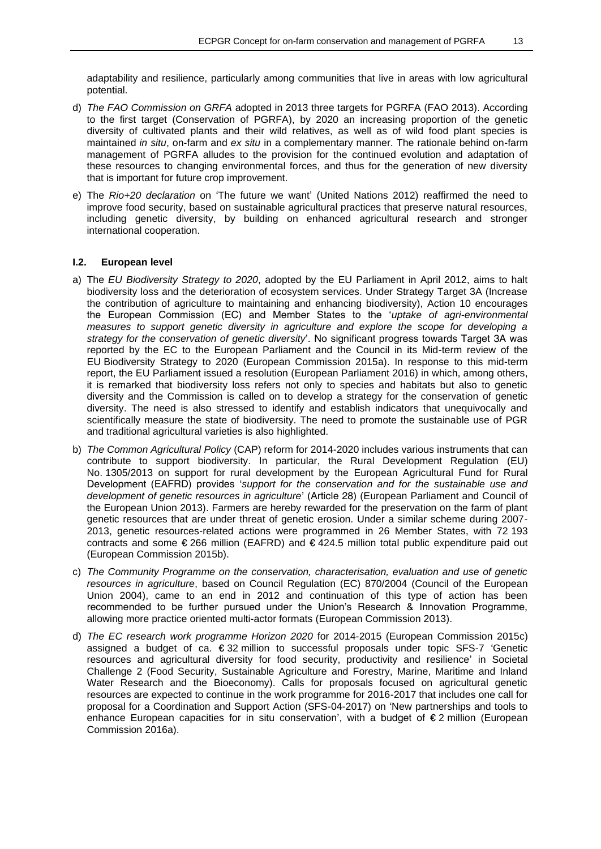adaptability and resilience, particularly among communities that live in areas with low agricultural potential.

- d) *The FAO Commission on GRFA* adopted in 2013 three targets for PGRFA (FAO 2013). According to the first target (Conservation of PGRFA), by 2020 an increasing proportion of the genetic diversity of cultivated plants and their wild relatives, as well as of wild food plant species is maintained *in situ*, on-farm and *ex situ* in a complementary manner. The rationale behind on-farm management of PGRFA alludes to the provision for the continued evolution and adaptation of these resources to changing environmental forces, and thus for the generation of new diversity that is important for future crop improvement.
- e) The *Rio+20 declaration* on 'The future we want' (United Nations 2012) reaffirmed the need to improve food security, based on sustainable agricultural practices that preserve natural resources, including genetic diversity, by building on enhanced agricultural research and stronger international cooperation.

### **I.2. European level**

- a) The *EU Biodiversity Strategy to 2020*, adopted by the EU Parliament in April 2012, aims to halt biodiversity loss and the deterioration of ecosystem services. Under Strategy Target 3A (Increase the contribution of agriculture to maintaining and enhancing biodiversity), Action 10 encourages the European Commission (EC) and Member States to the '*uptake of agri-environmental measures to support genetic diversity in agriculture and explore the scope for developing a strategy for the conservation of genetic diversity*'. No significant progress towards Target 3A was reported by the EC to the European Parliament and the Council in its Mid-term review of the EU Biodiversity Strategy to 2020 (European Commission 2015a). In response to this mid-term report, the EU Parliament issued a resolution (European Parliament 2016) in which, among others, it is remarked that biodiversity loss refers not only to species and habitats but also to genetic diversity and the Commission is called on to develop a strategy for the conservation of genetic diversity. The need is also stressed to identify and establish indicators that unequivocally and scientifically measure the state of biodiversity. The need to promote the sustainable use of PGR and traditional agricultural varieties is also highlighted.
- b) *The Common Agricultural Policy* (CAP) reform for 2014-2020 includes various instruments that can contribute to support biodiversity. In particular, the Rural Development Regulation (EU) No. 1305/2013 on support for rural development by the European Agricultural Fund for Rural Development (EAFRD) provides '*support for the conservation and for the sustainable use and development of genetic resources in agriculture*' (Article 28) (European Parliament and Council of the European Union 2013). Farmers are hereby rewarded for the preservation on the farm of plant genetic resources that are under threat of genetic erosion. Under a similar scheme during 2007- 2013, genetic resources-related actions were programmed in 26 Member States, with 72 193 contracts and some € 266 million (EAFRD) and € 424.5 million total public expenditure paid out (European Commission 2015b).
- c) *The Community Programme on the conservation, characterisation, evaluation and use of genetic resources in agriculture*, based on Council Regulation (EC) 870/2004 (Council of the European Union 2004), came to an end in 2012 and continuation of this type of action has been recommended to be further pursued under the Union's Research & Innovation Programme, allowing more practice oriented multi-actor formats (European Commission 2013).
- d) *The EC research work programme Horizon 2020* for 2014-2015 (European Commission 2015c) assigned a budget of ca. € 32 million to successful proposals under topic SFS-7 'Genetic resources and agricultural diversity for food security, productivity and resilience' in Societal Challenge 2 (Food Security, Sustainable Agriculture and Forestry, Marine, Maritime and Inland Water Research and the Bioeconomy). Calls for proposals focused on agricultural genetic resources are expected to continue in the work programme for 2016-2017 that includes one call for proposal for a Coordination and Support Action (SFS-04-2017) on 'New partnerships and tools to enhance European capacities for in situ conservation', with a budget of  $\epsilon$  2 million (European Commission 2016a).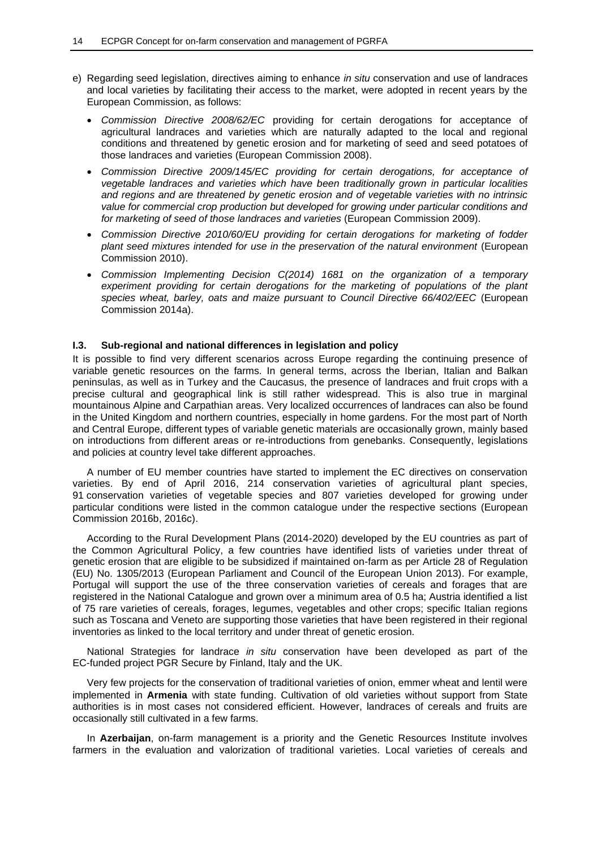- e) Regarding seed legislation, directives aiming to enhance *in situ* conservation and use of landraces and local varieties by facilitating their access to the market, were adopted in recent years by the European Commission, as follows:
	- *Commission Directive 2008/62/EC* providing for certain derogations for acceptance of agricultural landraces and varieties which are naturally adapted to the local and regional conditions and threatened by genetic erosion and for marketing of seed and seed potatoes of those landraces and varieties (European Commission 2008).
	- *Commission Directive 2009/145/EC providing for certain derogations, for acceptance of vegetable landraces and varieties which have been traditionally grown in particular localities and regions and are threatened by genetic erosion and of vegetable varieties with no intrinsic value for commercial crop production but developed for growing under particular conditions and for marketing of seed of those landraces and varieties* (European Commission 2009).
	- *Commission Directive 2010/60/EU providing for certain derogations for marketing of fodder plant seed mixtures intended for use in the preservation of the natural environment* (European Commission 2010).
	- *Commission Implementing Decision C(2014) 1681 on the organization of a temporary experiment providing for certain derogations for the marketing of populations of the plant species wheat, barley, oats and maize pursuant to Council Directive 66/402/EEC* (European Commission 2014a).

#### **I.3. Sub-regional and national differences in legislation and policy**

It is possible to find very different scenarios across Europe regarding the continuing presence of variable genetic resources on the farms. In general terms, across the Iberian, Italian and Balkan peninsulas, as well as in Turkey and the Caucasus, the presence of landraces and fruit crops with a precise cultural and geographical link is still rather widespread. This is also true in marginal mountainous Alpine and Carpathian areas. Very localized occurrences of landraces can also be found in the United Kingdom and northern countries, especially in home gardens. For the most part of North and Central Europe, different types of variable genetic materials are occasionally grown, mainly based on introductions from different areas or re-introductions from genebanks. Consequently, legislations and policies at country level take different approaches.

A number of EU member countries have started to implement the EC directives on conservation varieties. By end of April 2016, 214 conservation varieties of agricultural plant species, 91 conservation varieties of vegetable species and 807 varieties developed for growing under particular conditions were listed in the common catalogue under the respective sections (European Commission 2016b, 2016c).

According to the Rural Development Plans (2014-2020) developed by the EU countries as part of the Common Agricultural Policy, a few countries have identified lists of varieties under threat of genetic erosion that are eligible to be subsidized if maintained on-farm as per Article 28 of Regulation (EU) No. 1305/2013 (European Parliament and Council of the European Union 2013). For example, Portugal will support the use of the three conservation varieties of cereals and forages that are registered in the National Catalogue and grown over a minimum area of 0.5 ha; Austria identified a list of 75 rare varieties of cereals, forages, legumes, vegetables and other crops; specific Italian regions such as Toscana and Veneto are supporting those varieties that have been registered in their regional inventories as linked to the local territory and under threat of genetic erosion.

National Strategies for landrace *in situ* conservation have been developed as part of the EC-funded project PGR Secure by Finland, Italy and the UK.

Very few projects for the conservation of traditional varieties of onion, emmer wheat and lentil were implemented in **Armenia** with state funding. Cultivation of old varieties without support from State authorities is in most cases not considered efficient. However, landraces of cereals and fruits are occasionally still cultivated in a few farms.

In **Azerbaijan**, on-farm management is a priority and the Genetic Resources Institute involves farmers in the evaluation and valorization of traditional varieties. Local varieties of cereals and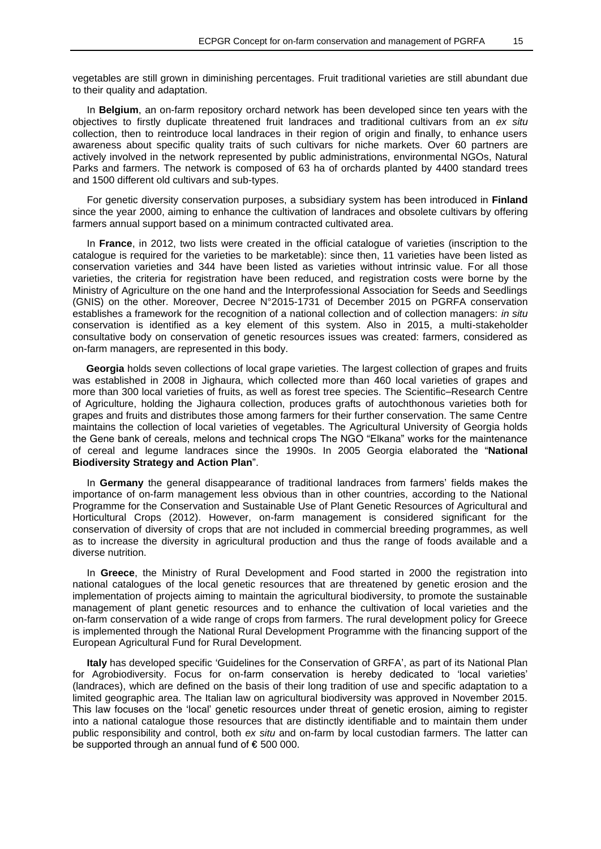vegetables are still grown in diminishing percentages. Fruit traditional varieties are still abundant due to their quality and adaptation.

In **Belgium**, an on-farm repository orchard network has been developed since ten years with the objectives to firstly duplicate threatened fruit landraces and traditional cultivars from an *ex situ* collection, then to reintroduce local landraces in their region of origin and finally, to enhance users awareness about specific quality traits of such cultivars for niche markets. Over 60 partners are actively involved in the network represented by public administrations, environmental NGOs, Natural Parks and farmers. The network is composed of 63 ha of orchards planted by 4400 standard trees and 1500 different old cultivars and sub-types.

For genetic diversity conservation purposes, a subsidiary system has been introduced in **Finland** since the year 2000, aiming to enhance the cultivation of landraces and obsolete cultivars by offering farmers annual support based on a minimum contracted cultivated area.

In **France**, in 2012, two lists were created in the official catalogue of varieties (inscription to the catalogue is required for the varieties to be marketable): since then, 11 varieties have been listed as conservation varieties and 344 have been listed as varieties without intrinsic value. For all those varieties, the criteria for registration have been reduced, and registration costs were borne by the Ministry of Agriculture on the one hand and the Interprofessional Association for Seeds and Seedlings (GNIS) on the other. Moreover, Decree N°2015-1731 of December 2015 on PGRFA conservation establishes a framework for the recognition of a national collection and of collection managers: *in situ* conservation is identified as a key element of this system. Also in 2015, a multi-stakeholder consultative body on conservation of genetic resources issues was created: farmers, considered as on-farm managers, are represented in this body.

**Georgia** holds seven collections of local grape varieties. The largest collection of grapes and fruits was established in 2008 in Jighaura, which collected more than 460 local varieties of grapes and more than 300 local varieties of fruits, as well as forest tree species. The Scientific–Research Centre of Agriculture, holding the Jighaura collection, produces grafts of autochthonous varieties both for grapes and fruits and distributes those among farmers for their further conservation. The same Centre maintains the collection of local varieties of vegetables. The Agricultural University of Georgia holds the Gene bank of cereals, melons and technical crops The NGO "Elkana" works for the maintenance of cereal and legume landraces since the 1990s. In 2005 Georgia elaborated the "**National Biodiversity Strategy and Action Plan**".

In **Germany** the general disappearance of traditional landraces from farmers' fields makes the importance of on-farm management less obvious than in other countries, according to the National Programme for the Conservation and Sustainable Use of Plant Genetic Resources of Agricultural and Horticultural Crops (2012). However, on-farm management is considered significant for the conservation of diversity of crops that are not included in commercial breeding programmes, as well as to increase the diversity in agricultural production and thus the range of foods available and a diverse nutrition.

In **Greece**, the Ministry of Rural Development and Food started in 2000 the registration into national catalogues of the local genetic resources that are threatened by genetic erosion and the implementation of projects aiming to maintain the agricultural biodiversity, to promote the sustainable management of plant genetic resources and to enhance the cultivation of local varieties and the on-farm conservation of a wide range of crops from farmers. The rural development policy for Greece is implemented through the National Rural Development Programme with the financing support of the European Agricultural Fund for Rural Development.

**Italy** has developed specific 'Guidelines for the Conservation of GRFA', as part of its National Plan for Agrobiodiversity. Focus for on-farm conservation is hereby dedicated to 'local varieties' (landraces), which are defined on the basis of their long tradition of use and specific adaptation to a limited geographic area. The Italian law on agricultural biodiversity was approved in November 2015. This law focuses on the 'local' genetic resources under threat of genetic erosion, aiming to register into a national catalogue those resources that are distinctly identifiable and to maintain them under public responsibility and control, both *ex situ* and on-farm by local custodian farmers. The latter can be supported through an annual fund of € 500 000.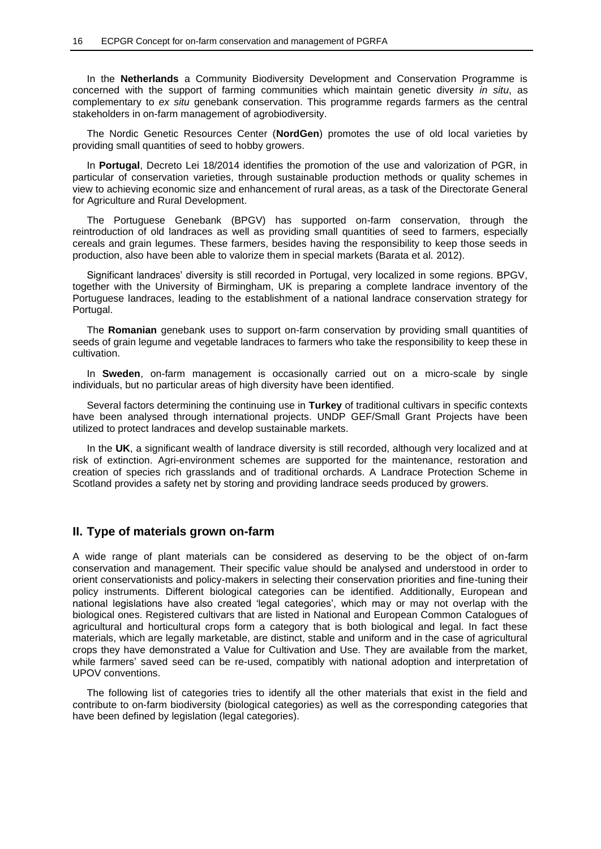In the **Netherlands** a Community Biodiversity Development and Conservation Programme is concerned with the support of farming communities which maintain genetic diversity *in situ*, as complementary to *ex situ* genebank conservation. This programme regards farmers as the central stakeholders in on-farm management of agrobiodiversity.

The Nordic Genetic Resources Center (**NordGen**) promotes the use of old local varieties by providing small quantities of seed to hobby growers.

In **Portugal**, Decreto Lei 18/2014 identifies the promotion of the use and valorization of PGR, in particular of conservation varieties, through sustainable production methods or quality schemes in view to achieving economic size and enhancement of rural areas, as a task of the Directorate General for Agriculture and Rural Development.

The Portuguese Genebank (BPGV) has supported on-farm conservation, through the reintroduction of old landraces as well as providing small quantities of seed to farmers, especially cereals and grain legumes. These farmers, besides having the responsibility to keep those seeds in production, also have been able to valorize them in special markets (Barata et al*.* 2012).

Significant landraces' diversity is still recorded in Portugal, very localized in some regions. BPGV, together with the University of Birmingham, UK is preparing a complete landrace inventory of the Portuguese landraces, leading to the establishment of a national landrace conservation strategy for Portugal.

The **Romanian** genebank uses to support on-farm conservation by providing small quantities of seeds of grain legume and vegetable landraces to farmers who take the responsibility to keep these in cultivation.

In **Sweden**, on-farm management is occasionally carried out on a micro-scale by single individuals, but no particular areas of high diversity have been identified.

Several factors determining the continuing use in **Turkey** of traditional cultivars in specific contexts have been analysed through international projects. UNDP GEF/Small Grant Projects have been utilized to protect landraces and develop sustainable markets.

In the **UK**, a significant wealth of landrace diversity is still recorded, although very localized and at risk of extinction. Agri-environment schemes are supported for the maintenance, restoration and creation of species rich grasslands and of traditional orchards. A Landrace Protection Scheme in Scotland provides a safety net by storing and providing landrace seeds produced by growers.

### **II. Type of materials grown on-farm**

A wide range of plant materials can be considered as deserving to be the object of on-farm conservation and management. Their specific value should be analysed and understood in order to orient conservationists and policy-makers in selecting their conservation priorities and fine-tuning their policy instruments. Different biological categories can be identified. Additionally, European and national legislations have also created 'legal categories', which may or may not overlap with the biological ones. Registered cultivars that are listed in National and European Common Catalogues of agricultural and horticultural crops form a category that is both biological and legal. In fact these materials, which are legally marketable, are distinct, stable and uniform and in the case of agricultural crops they have demonstrated a Value for Cultivation and Use. They are available from the market, while farmers' saved seed can be re-used, compatibly with national adoption and interpretation of UPOV conventions.

The following list of categories tries to identify all the other materials that exist in the field and contribute to on-farm biodiversity (biological categories) as well as the corresponding categories that have been defined by legislation (legal categories).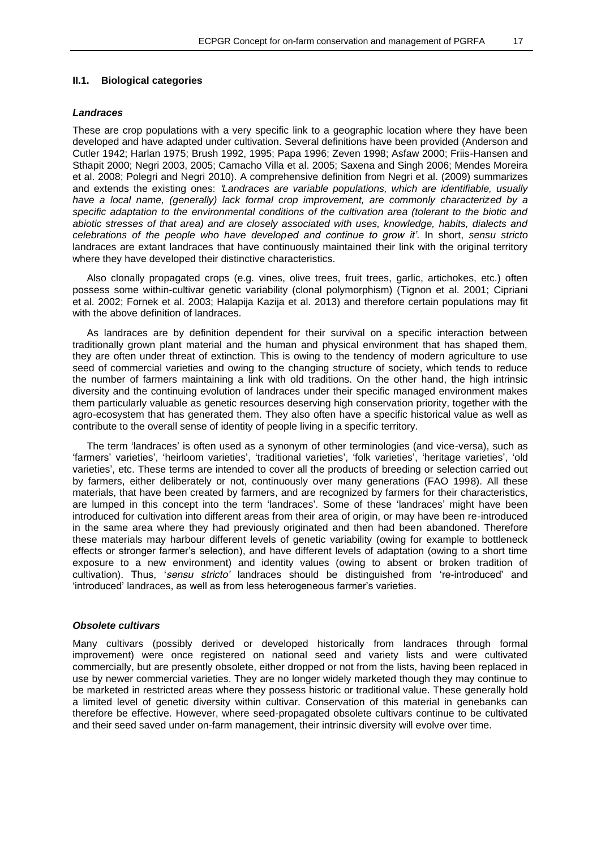#### **II.1. Biological categories**

#### *Landraces*

These are crop populations with a very specific link to a geographic location where they have been developed and have adapted under cultivation. Several definitions have been provided (Anderson and Cutler 1942; Harlan 1975; Brush 1992, 1995; Papa 1996; Zeven 1998; Asfaw 2000; Friis-Hansen and Sthapit 2000; Negri 2003, 2005; Camacho Villa et al. 2005; Saxena and Singh 2006; Mendes Moreira et al. 2008; Polegri and Negri 2010). A comprehensive definition from Negri et al. (2009) summarizes and extends the existing ones: *'Landraces are variable populations, which are identifiable, usually have a local name, (generally) lack formal crop improvement, are commonly characterized by a specific adaptation to the environmental conditions of the cultivation area (tolerant to the biotic and abiotic stresses of that area) and are closely associated with uses, knowledge, habits, dialects and celebrations of the people who have developed and continue to grow it'*. In short, *sensu stricto*  landraces are extant landraces that have continuously maintained their link with the original territory where they have developed their distinctive characteristics.

Also clonally propagated crops (e.g. vines, olive trees, fruit trees, garlic, artichokes, etc.) often possess some within-cultivar genetic variability (clonal polymorphism) (Tignon et al. 2001; Cipriani et al. 2002; Fornek et al. 2003; Halapija Kazija et al. 2013) and therefore certain populations may fit with the above definition of landraces.

As landraces are by definition dependent for their survival on a specific interaction between traditionally grown plant material and the human and physical environment that has shaped them, they are often under threat of extinction. This is owing to the tendency of modern agriculture to use seed of commercial varieties and owing to the changing structure of society, which tends to reduce the number of farmers maintaining a link with old traditions. On the other hand, the high intrinsic diversity and the continuing evolution of landraces under their specific managed environment makes them particularly valuable as genetic resources deserving high conservation priority, together with the agro-ecosystem that has generated them. They also often have a specific historical value as well as contribute to the overall sense of identity of people living in a specific territory.

The term 'landraces' is often used as a synonym of other terminologies (and vice-versa), such as 'farmers' varieties', 'heirloom varieties', 'traditional varieties', 'folk varieties', 'heritage varieties', 'old varieties', etc. These terms are intended to cover all the products of breeding or selection carried out by farmers, either deliberately or not, continuously over many generations (FAO 1998). All these materials, that have been created by farmers, and are recognized by farmers for their characteristics, are lumped in this concept into the term 'landraces'. Some of these 'landraces' might have been introduced for cultivation into different areas from their area of origin, or may have been re-introduced in the same area where they had previously originated and then had been abandoned. Therefore these materials may harbour different levels of genetic variability (owing for example to bottleneck effects or stronger farmer's selection), and have different levels of adaptation (owing to a short time exposure to a new environment) and identity values (owing to absent or broken tradition of cultivation). Thus, '*sensu stricto'* landraces should be distinguished from 're-introduced' and 'introduced' landraces, as well as from less heterogeneous farmer's varieties.

#### *Obsolete cultivars*

Many cultivars (possibly derived or developed historically from landraces through formal improvement) were once registered on national seed and variety lists and were cultivated commercially, but are presently obsolete, either dropped or not from the lists, having been replaced in use by newer commercial varieties. They are no longer widely marketed though they may continue to be marketed in restricted areas where they possess historic or traditional value. These generally hold a limited level of genetic diversity within cultivar. Conservation of this material in genebanks can therefore be effective. However, where seed-propagated obsolete cultivars continue to be cultivated and their seed saved under on-farm management, their intrinsic diversity will evolve over time.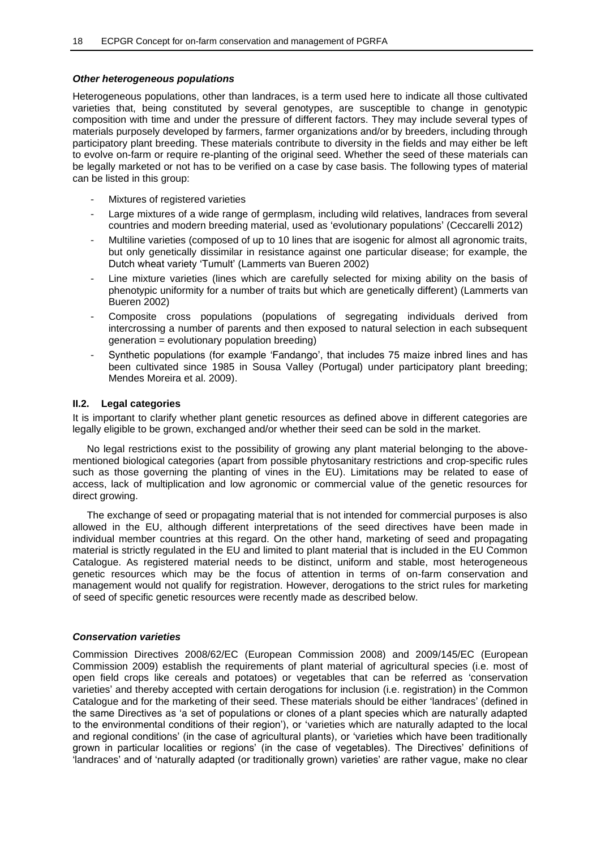### *Other heterogeneous populations*

Heterogeneous populations, other than landraces, is a term used here to indicate all those cultivated varieties that, being constituted by several genotypes, are susceptible to change in genotypic composition with time and under the pressure of different factors. They may include several types of materials purposely developed by farmers, farmer organizations and/or by breeders, including through participatory plant breeding. These materials contribute to diversity in the fields and may either be left to evolve on-farm or require re-planting of the original seed. Whether the seed of these materials can be legally marketed or not has to be verified on a case by case basis. The following types of material can be listed in this group:

- Mixtures of registered varieties
- Large mixtures of a wide range of germplasm, including wild relatives, landraces from several countries and modern breeding material, used as 'evolutionary populations' (Ceccarelli 2012)
- Multiline varieties (composed of up to 10 lines that are isogenic for almost all agronomic traits, but only genetically dissimilar in resistance against one particular disease; for example, the Dutch wheat variety 'Tumult' (Lammerts van Bueren 2002)
- Line mixture varieties (lines which are carefully selected for mixing ability on the basis of phenotypic uniformity for a number of traits but which are genetically different) (Lammerts van Bueren 2002)
- Composite cross populations (populations of segregating individuals derived from intercrossing a number of parents and then exposed to natural selection in each subsequent generation = evolutionary population breeding)
- Synthetic populations (for example 'Fandango', that includes 75 maize inbred lines and has been cultivated since 1985 in Sousa Valley (Portugal) under participatory plant breeding; Mendes Moreira et al. 2009).

### **II.2. Legal categories**

It is important to clarify whether plant genetic resources as defined above in different categories are legally eligible to be grown, exchanged and/or whether their seed can be sold in the market.

No legal restrictions exist to the possibility of growing any plant material belonging to the abovementioned biological categories (apart from possible phytosanitary restrictions and crop-specific rules such as those governing the planting of vines in the EU). Limitations may be related to ease of access, lack of multiplication and low agronomic or commercial value of the genetic resources for direct growing.

The exchange of seed or propagating material that is not intended for commercial purposes is also allowed in the EU, although different interpretations of the seed directives have been made in individual member countries at this regard. On the other hand, marketing of seed and propagating material is strictly regulated in the EU and limited to plant material that is included in the EU Common Catalogue. As registered material needs to be distinct, uniform and stable, most heterogeneous genetic resources which may be the focus of attention in terms of on-farm conservation and management would not qualify for registration. However, derogations to the strict rules for marketing of seed of specific genetic resources were recently made as described below.

### *Conservation varieties*

Commission Directives 2008/62/EC (European Commission 2008) and 2009/145/EC (European Commission 2009) establish the requirements of plant material of agricultural species (i.e. most of open field crops like cereals and potatoes) or vegetables that can be referred as 'conservation varieties' and thereby accepted with certain derogations for inclusion (i.e. registration) in the Common Catalogue and for the marketing of their seed. These materials should be either 'landraces' (defined in the same Directives as 'a set of populations or clones of a plant species which are naturally adapted to the environmental conditions of their region'), or 'varieties which are naturally adapted to the local and regional conditions' (in the case of agricultural plants), or 'varieties which have been traditionally grown in particular localities or regions' (in the case of vegetables). The Directives' definitions of 'landraces' and of 'naturally adapted (or traditionally grown) varieties' are rather vague, make no clear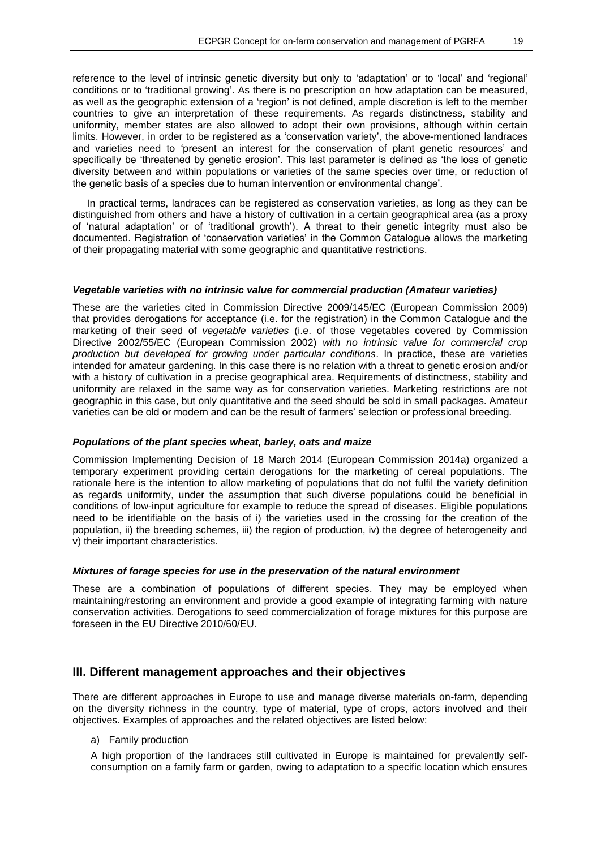reference to the level of intrinsic genetic diversity but only to 'adaptation' or to 'local' and 'regional' conditions or to 'traditional growing'. As there is no prescription on how adaptation can be measured, as well as the geographic extension of a 'region' is not defined, ample discretion is left to the member countries to give an interpretation of these requirements. As regards distinctness, stability and uniformity, member states are also allowed to adopt their own provisions, although within certain limits. However, in order to be registered as a 'conservation variety', the above-mentioned landraces and varieties need to 'present an interest for the conservation of plant genetic resources' and specifically be 'threatened by genetic erosion'. This last parameter is defined as 'the loss of genetic diversity between and within populations or varieties of the same species over time, or reduction of the genetic basis of a species due to human intervention or environmental change'.

In practical terms, landraces can be registered as conservation varieties, as long as they can be distinguished from others and have a history of cultivation in a certain geographical area (as a proxy of 'natural adaptation' or of 'traditional growth'). A threat to their genetic integrity must also be documented. Registration of 'conservation varieties' in the Common Catalogue allows the marketing of their propagating material with some geographic and quantitative restrictions.

#### *Vegetable varieties with no intrinsic value for commercial production (Amateur varieties)*

These are the varieties cited in Commission Directive 2009/145/EC (European Commission 2009) that provides derogations for acceptance (i.e. for the registration) in the Common Catalogue and the marketing of their seed of *vegetable varieties* (i.e. of those vegetables covered by Commission Directive 2002/55/EC (European Commission 2002) *with no intrinsic value for commercial crop production but developed for growing under particular conditions*. In practice, these are varieties intended for amateur gardening. In this case there is no relation with a threat to genetic erosion and/or with a history of cultivation in a precise geographical area. Requirements of distinctness, stability and uniformity are relaxed in the same way as for conservation varieties. Marketing restrictions are not geographic in this case, but only quantitative and the seed should be sold in small packages. Amateur varieties can be old or modern and can be the result of farmers' selection or professional breeding.

#### *Populations of the plant species wheat, barley, oats and maize*

Commission Implementing Decision of 18 March 2014 (European Commission 2014a) organized a temporary experiment providing certain derogations for the marketing of cereal populations. The rationale here is the intention to allow marketing of populations that do not fulfil the variety definition as regards uniformity, under the assumption that such diverse populations could be beneficial in conditions of low-input agriculture for example to reduce the spread of diseases. Eligible populations need to be identifiable on the basis of i) the varieties used in the crossing for the creation of the population, ii) the breeding schemes, iii) the region of production, iv) the degree of heterogeneity and v) their important characteristics.

### *Mixtures of forage species for use in the preservation of the natural environment*

These are a combination of populations of different species. They may be employed when maintaining/restoring an environment and provide a good example of integrating farming with nature conservation activities. Derogations to seed commercialization of forage mixtures for this purpose are foreseen in the EU Directive 2010/60/EU.

### **III. Different management approaches and their objectives**

There are different approaches in Europe to use and manage diverse materials on-farm, depending on the diversity richness in the country, type of material, type of crops, actors involved and their objectives. Examples of approaches and the related objectives are listed below:

a) Family production

A high proportion of the landraces still cultivated in Europe is maintained for prevalently selfconsumption on a family farm or garden, owing to adaptation to a specific location which ensures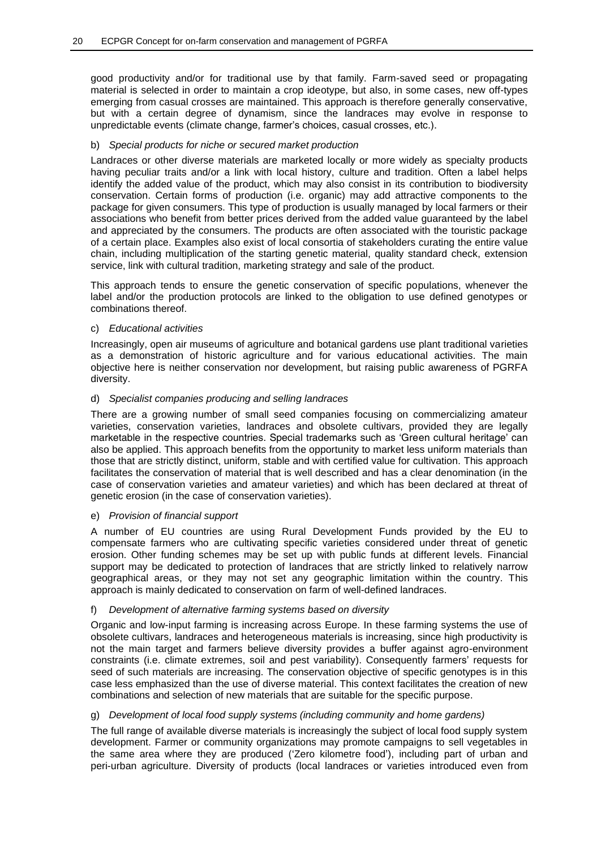good productivity and/or for traditional use by that family. Farm-saved seed or propagating material is selected in order to maintain a crop ideotype, but also, in some cases, new off-types emerging from casual crosses are maintained. This approach is therefore generally conservative, but with a certain degree of dynamism, since the landraces may evolve in response to unpredictable events (climate change, farmer's choices, casual crosses, etc.).

### b) *Special products for niche or secured market production*

Landraces or other diverse materials are marketed locally or more widely as specialty products having peculiar traits and/or a link with local history, culture and tradition. Often a label helps identify the added value of the product, which may also consist in its contribution to biodiversity conservation. Certain forms of production (i.e. organic) may add attractive components to the package for given consumers. This type of production is usually managed by local farmers or their associations who benefit from better prices derived from the added value guaranteed by the label and appreciated by the consumers. The products are often associated with the touristic package of a certain place. Examples also exist of local consortia of stakeholders curating the entire value chain, including multiplication of the starting genetic material, quality standard check, extension service, link with cultural tradition, marketing strategy and sale of the product.

This approach tends to ensure the genetic conservation of specific populations, whenever the label and/or the production protocols are linked to the obligation to use defined genotypes or combinations thereof.

### c) *Educational activities*

Increasingly, open air museums of agriculture and botanical gardens use plant traditional varieties as a demonstration of historic agriculture and for various educational activities. The main objective here is neither conservation nor development, but raising public awareness of PGRFA diversity.

### d) *Specialist companies producing and selling landraces*

There are a growing number of small seed companies focusing on commercializing amateur varieties, conservation varieties, landraces and obsolete cultivars, provided they are legally marketable in the respective countries. Special trademarks such as 'Green cultural heritage' can also be applied. This approach benefits from the opportunity to market less uniform materials than those that are strictly distinct, uniform, stable and with certified value for cultivation. This approach facilitates the conservation of material that is well described and has a clear denomination (in the case of conservation varieties and amateur varieties) and which has been declared at threat of genetic erosion (in the case of conservation varieties).

### e) *Provision of financial support*

A number of EU countries are using Rural Development Funds provided by the EU to compensate farmers who are cultivating specific varieties considered under threat of genetic erosion. Other funding schemes may be set up with public funds at different levels. Financial support may be dedicated to protection of landraces that are strictly linked to relatively narrow geographical areas, or they may not set any geographic limitation within the country. This approach is mainly dedicated to conservation on farm of well-defined landraces.

### f) *Development of alternative farming systems based on diversity*

Organic and low-input farming is increasing across Europe. In these farming systems the use of obsolete cultivars, landraces and heterogeneous materials is increasing, since high productivity is not the main target and farmers believe diversity provides a buffer against agro-environment constraints (i.e. climate extremes, soil and pest variability). Consequently farmers' requests for seed of such materials are increasing. The conservation objective of specific genotypes is in this case less emphasized than the use of diverse material. This context facilitates the creation of new combinations and selection of new materials that are suitable for the specific purpose.

### g) *Development of local food supply systems (including community and home gardens)*

The full range of available diverse materials is increasingly the subject of local food supply system development. Farmer or community organizations may promote campaigns to sell vegetables in the same area where they are produced ('Zero kilometre food'), including part of urban and peri-urban agriculture. Diversity of products (local landraces or varieties introduced even from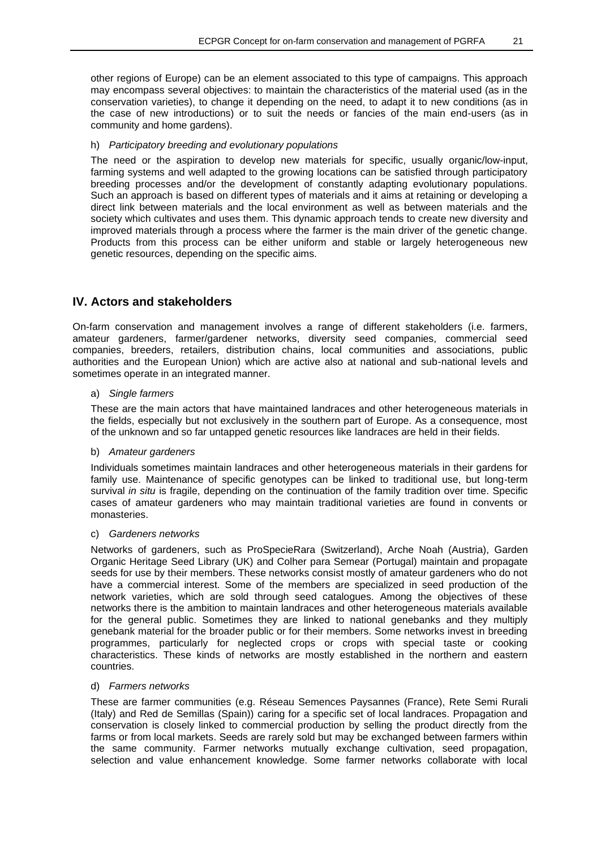other regions of Europe) can be an element associated to this type of campaigns. This approach may encompass several objectives: to maintain the characteristics of the material used (as in the conservation varieties), to change it depending on the need, to adapt it to new conditions (as in the case of new introductions) or to suit the needs or fancies of the main end-users (as in community and home gardens).

### h) *Participatory breeding and evolutionary populations*

The need or the aspiration to develop new materials for specific, usually organic/low-input, farming systems and well adapted to the growing locations can be satisfied through participatory breeding processes and/or the development of constantly adapting evolutionary populations. Such an approach is based on different types of materials and it aims at retaining or developing a direct link between materials and the local environment as well as between materials and the society which cultivates and uses them. This dynamic approach tends to create new diversity and improved materials through a process where the farmer is the main driver of the genetic change. Products from this process can be either uniform and stable or largely heterogeneous new genetic resources, depending on the specific aims.

### **IV. Actors and stakeholders**

On-farm conservation and management involves a range of different stakeholders (i.e. farmers, amateur gardeners, farmer/gardener networks, diversity seed companies, commercial seed companies, breeders, retailers, distribution chains, local communities and associations, public authorities and the European Union) which are active also at national and sub-national levels and sometimes operate in an integrated manner.

### a) *Single farmers*

These are the main actors that have maintained landraces and other heterogeneous materials in the fields, especially but not exclusively in the southern part of Europe. As a consequence, most of the unknown and so far untapped genetic resources like landraces are held in their fields.

### b) *Amateur gardeners*

Individuals sometimes maintain landraces and other heterogeneous materials in their gardens for family use. Maintenance of specific genotypes can be linked to traditional use, but long-term survival *in situ* is fragile, depending on the continuation of the family tradition over time. Specific cases of amateur gardeners who may maintain traditional varieties are found in convents or monasteries.

### c) *Gardeners networks*

Networks of gardeners, such as ProSpecieRara (Switzerland), Arche Noah (Austria), Garden Organic Heritage Seed Library (UK) and Colher para Semear (Portugal) maintain and propagate seeds for use by their members. These networks consist mostly of amateur gardeners who do not have a commercial interest. Some of the members are specialized in seed production of the network varieties, which are sold through seed catalogues. Among the objectives of these networks there is the ambition to maintain landraces and other heterogeneous materials available for the general public. Sometimes they are linked to national genebanks and they multiply genebank material for the broader public or for their members. Some networks invest in breeding programmes, particularly for neglected crops or crops with special taste or cooking characteristics. These kinds of networks are mostly established in the northern and eastern countries.

### d) *Farmers networks*

These are farmer communities (e.g. Réseau Semences Paysannes (France), Rete Semi Rurali (Italy) and Red de Semillas (Spain)) caring for a specific set of local landraces. Propagation and conservation is closely linked to commercial production by selling the product directly from the farms or from local markets. Seeds are rarely sold but may be exchanged between farmers within the same community. Farmer networks mutually exchange cultivation, seed propagation, selection and value enhancement knowledge. Some farmer networks collaborate with local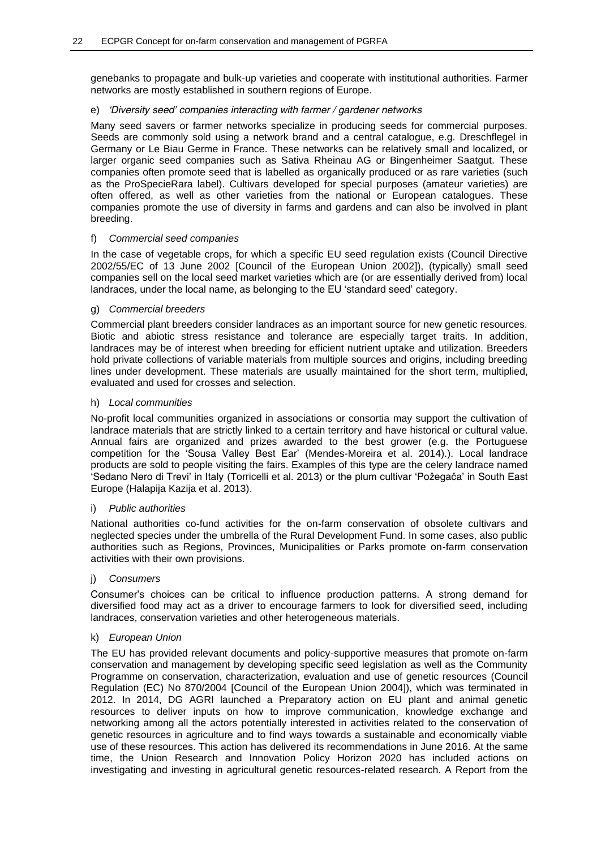genebanks to propagate and bulk-up varieties and cooperate with institutional authorities. Farmer networks are mostly established in southern regions of Europe.

### e) *'Diversity seed' companies interacting with farmer / gardener networks*

Many seed savers or farmer networks specialize in producing seeds for commercial purposes. Seeds are commonly sold using a network brand and a central catalogue, e.g. Dreschflegel in Germany or Le Biau Germe in France. These networks can be relatively small and localized, or larger organic seed companies such as Sativa Rheinau AG or Bingenheimer Saatgut. These companies often promote seed that is labelled as organically produced or as rare varieties (such as the ProSpecieRara label). Cultivars developed for special purposes (amateur varieties) are often offered, as well as other varieties from the national or European catalogues. These companies promote the use of diversity in farms and gardens and can also be involved in plant breeding.

### f) *Commercial seed companies*

In the case of vegetable crops, for which a specific EU seed regulation exists (Council Directive 2002/55/EC of 13 June 2002 [Council of the European Union 2002]), (typically) small seed companies sell on the local seed market varieties which are (or are essentially derived from) local landraces, under the local name, as belonging to the EU 'standard seed' category.

### g) *Commercial breeders*

Commercial plant breeders consider landraces as an important source for new genetic resources. Biotic and abiotic stress resistance and tolerance are especially target traits. In addition, landraces may be of interest when breeding for efficient nutrient uptake and utilization. Breeders hold private collections of variable materials from multiple sources and origins, including breeding lines under development. These materials are usually maintained for the short term, multiplied, evaluated and used for crosses and selection.

### h) *Local communities*

No-profit local communities organized in associations or consortia may support the cultivation of landrace materials that are strictly linked to a certain territory and have historical or cultural value. Annual fairs are organized and prizes awarded to the best grower (e.g. the Portuguese competition for the 'Sousa Valley Best Ear' (Mendes-Moreira et al. 2014).). Local landrace products are sold to people visiting the fairs. Examples of this type are the celery landrace named 'Sedano Nero di Trevi' in Italy (Torricelli et al. 2013) or the plum cultivar 'Požegača' in South East Europe (Halapija Kazija et al. 2013).

### i) *Public authorities*

National authorities co-fund activities for the on-farm conservation of obsolete cultivars and neglected species under the umbrella of the Rural Development Fund. In some cases, also public authorities such as Regions, Provinces, Municipalities or Parks promote on-farm conservation activities with their own provisions.

### j) *Consumers*

Consumer's choices can be critical to influence production patterns. A strong demand for diversified food may act as a driver to encourage farmers to look for diversified seed, including landraces, conservation varieties and other heterogeneous materials.

### k) *European Union*

The EU has provided relevant documents and policy-supportive measures that promote on-farm conservation and management by developing specific seed legislation as well as the Community Programme on conservation, characterization, evaluation and use of genetic resources (Council Regulation (EC) No 870/2004 [Council of the European Union 2004]), which was terminated in 2012. In 2014, DG AGRI launched a Preparatory action on EU plant and animal genetic resources to deliver inputs on how to improve communication, knowledge exchange and networking among all the actors potentially interested in activities related to the conservation of genetic resources in agriculture and to find ways towards a sustainable and economically viable use of these resources. This action has delivered its recommendations in June 2016. At the same time, the Union Research and Innovation Policy Horizon 2020 has included actions on investigating and investing in agricultural genetic resources-related research. A Report from the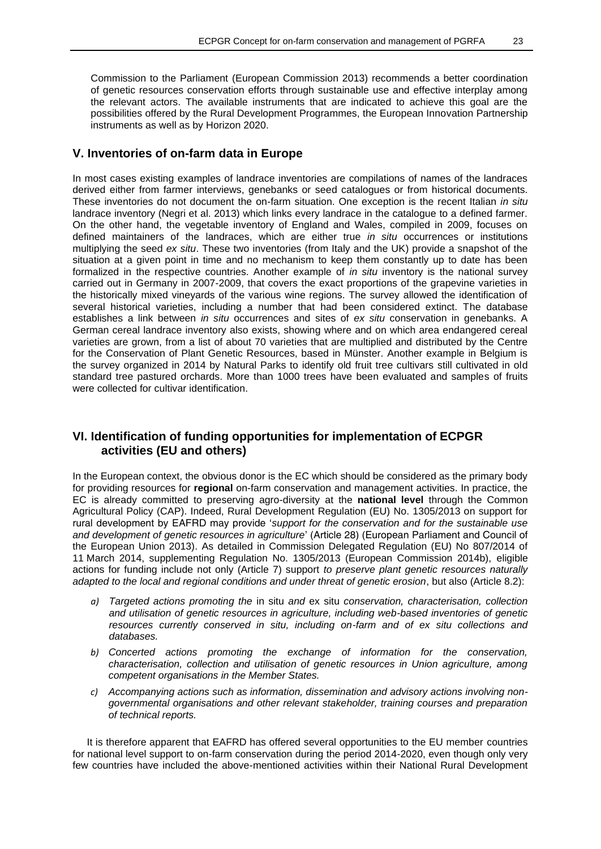Commission to the Parliament (European Commission 2013) recommends a better coordination of genetic resources conservation efforts through sustainable use and effective interplay among the relevant actors. The available instruments that are indicated to achieve this goal are the possibilities offered by the Rural Development Programmes, the European Innovation Partnership instruments as well as by Horizon 2020.

### **V. Inventories of on-farm data in Europe**

In most cases existing examples of landrace inventories are compilations of names of the landraces derived either from farmer interviews, genebanks or seed catalogues or from historical documents. These inventories do not document the on-farm situation. One exception is the recent Italian *in situ* landrace inventory (Negri et al. 2013) which links every landrace in the catalogue to a defined farmer. On the other hand, the vegetable inventory of England and Wales, compiled in 2009, focuses on defined maintainers of the landraces, which are either true *in situ* occurrences or institutions multiplying the seed *ex situ*. These two inventories (from Italy and the UK) provide a snapshot of the situation at a given point in time and no mechanism to keep them constantly up to date has been formalized in the respective countries. Another example of *in situ* inventory is the national survey carried out in Germany in 2007-2009, that covers the exact proportions of the grapevine varieties in the historically mixed vineyards of the various wine regions. The survey allowed the identification of several historical varieties, including a number that had been considered extinct. The database establishes a link between *in situ* occurrences and sites of *ex situ* conservation in genebanks. A German cereal landrace inventory also exists, showing where and on which area endangered cereal varieties are grown, from a list of about 70 varieties that are multiplied and distributed by the Centre for the Conservation of Plant Genetic Resources, based in Münster. Another example in Belgium is the survey organized in 2014 by Natural Parks to identify old fruit tree cultivars still cultivated in old standard tree pastured orchards. More than 1000 trees have been evaluated and samples of fruits were collected for cultivar identification.

### **VI. Identification of funding opportunities for implementation of ECPGR activities (EU and others)**

In the European context, the obvious donor is the EC which should be considered as the primary body for providing resources for **regional** on-farm conservation and management activities. In practice, the EC is already committed to preserving agro-diversity at the **national level** through the Common Agricultural Policy (CAP). Indeed, Rural Development Regulation (EU) No. 1305/2013 on support for rural development by EAFRD may provide '*support for the conservation and for the sustainable use and development of genetic resources in agriculture*' (Article 28) (European Parliament and Council of the European Union 2013). As detailed in Commission Delegated Regulation (EU) No 807/2014 of 11 March 2014, supplementing Regulation No. 1305/2013 (European Commission 2014b), eligible actions for funding include not only (Article 7) support *to preserve plant genetic resources naturally adapted to the local and regional conditions and under threat of genetic erosion*, but also (Article 8.2):

- *a) Targeted actions promoting the* in situ *and* ex situ *conservation, characterisation, collection and utilisation of genetic resources in agriculture, including web-based inventories of genetic resources currently conserved in situ, including on-farm and of ex situ collections and databases.*
- *b) Concerted actions promoting the exchange of information for the conservation, characterisation, collection and utilisation of genetic resources in Union agriculture, among competent organisations in the Member States.*
- *c) Accompanying actions such as information, dissemination and advisory actions involving nongovernmental organisations and other relevant stakeholder, training courses and preparation of technical reports.*

It is therefore apparent that EAFRD has offered several opportunities to the EU member countries for national level support to on-farm conservation during the period 2014-2020, even though only very few countries have included the above-mentioned activities within their National Rural Development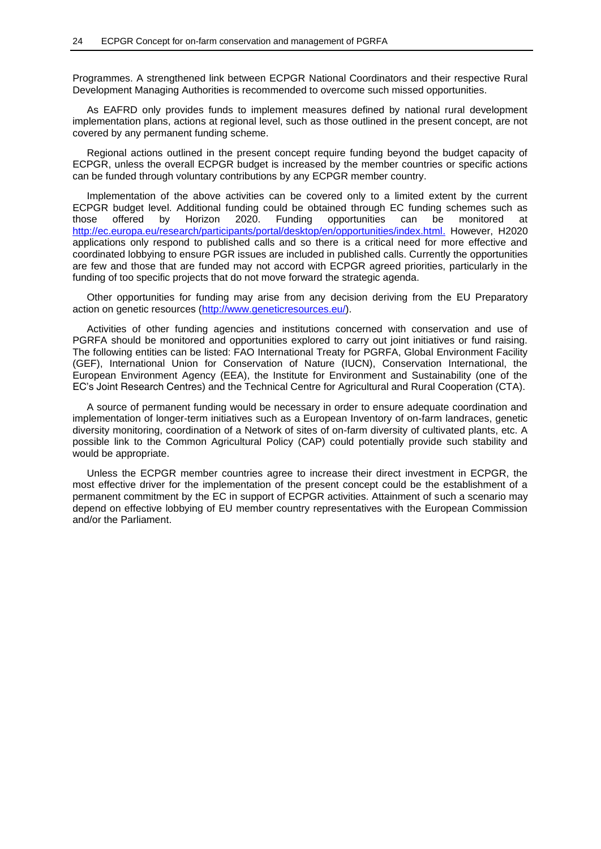Programmes. A strengthened link between ECPGR National Coordinators and their respective Rural Development Managing Authorities is recommended to overcome such missed opportunities.

As EAFRD only provides funds to implement measures defined by national rural development implementation plans, actions at regional level, such as those outlined in the present concept, are not covered by any permanent funding scheme.

Regional actions outlined in the present concept require funding beyond the budget capacity of ECPGR, unless the overall ECPGR budget is increased by the member countries or specific actions can be funded through voluntary contributions by any ECPGR member country.

Implementation of the above activities can be covered only to a limited extent by the current ECPGR budget level. Additional funding could be obtained through EC funding schemes such as those offered by Horizon 2020. Funding opportunities can be monitored at [http://ec.europa.eu/research/participants/portal/desktop/en/opportunities/index.html.](http://ec.europa.eu/research/participants/portal/desktop/en/opportunities/index.html) However, H2020 applications only respond to published calls and so there is a critical need for more effective and coordinated lobbying to ensure PGR issues are included in published calls. Currently the opportunities are few and those that are funded may not accord with ECPGR agreed priorities, particularly in the funding of too specific projects that do not move forward the strategic agenda.

Other opportunities for funding may arise from any decision deriving from the EU Preparatory action on genetic resources [\(http://www.geneticresources.eu/\)](http://www.geneticresources.eu/).

Activities of other funding agencies and institutions concerned with conservation and use of PGRFA should be monitored and opportunities explored to carry out joint initiatives or fund raising. The following entities can be listed: FAO International Treaty for PGRFA, Global Environment Facility (GEF), International Union for Conservation of Nature (IUCN), Conservation International, the European Environment Agency (EEA), the Institute for Environment and Sustainability (one of the EC's Joint Research Centres) and the Technical Centre for Agricultural and Rural Cooperation (CTA).

A source of permanent funding would be necessary in order to ensure adequate coordination and implementation of longer-term initiatives such as a European Inventory of on-farm landraces, genetic diversity monitoring, coordination of a Network of sites of on-farm diversity of cultivated plants, etc. A possible link to the Common Agricultural Policy (CAP) could potentially provide such stability and would be appropriate.

Unless the ECPGR member countries agree to increase their direct investment in ECPGR, the most effective driver for the implementation of the present concept could be the establishment of a permanent commitment by the EC in support of ECPGR activities. Attainment of such a scenario may depend on effective lobbying of EU member country representatives with the European Commission and/or the Parliament.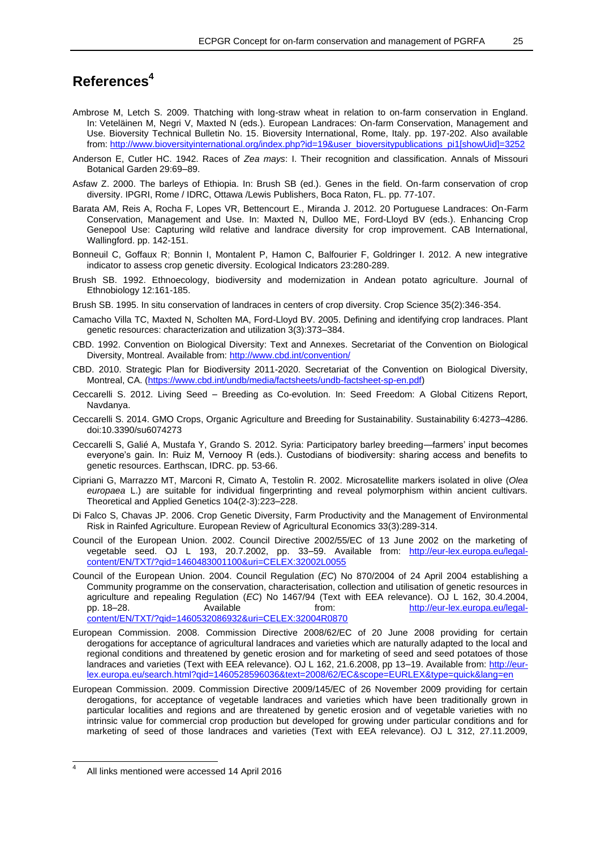# **References<sup>4</sup>**

- Ambrose M, Letch S. 2009. Thatching with long-straw wheat in relation to on-farm conservation in England. In: Veteläinen M, Negri V, Maxted N (eds.). European Landraces: On-farm Conservation, Management and Use. Bioversity Technical Bulletin No. 15. Bioversity International, Rome, Italy. pp. 197-202. Also available from: [http://www.bioversityinternational.org/index.php?id=19&user\\_bioversitypublications\\_pi1\[showUid\]=3252](http://www.bioversityinternational.org/index.php?id=19&user_bioversitypublications_pi1%5bshowUid%5d=3252)
- Anderson E, Cutler HC. 1942. Races of *Zea mays*: I. Their recognition and classification. Annals of Missouri Botanical Garden 29:69–89.
- Asfaw Z. 2000. The barleys of Ethiopia. In: Brush SB (ed.). Genes in the field. On-farm conservation of crop diversity. IPGRI, Rome / IDRC, Ottawa /Lewis Publishers, Boca Raton, FL. pp. 77-107.
- Barata AM, Reis A, Rocha F, Lopes VR, Bettencourt E., Miranda J. 2012. 20 Portuguese Landraces: On-Farm Conservation, Management and Use. In: Maxted N, Dulloo ME, Ford-Lloyd BV (eds.). Enhancing Crop Genepool Use: Capturing wild relative and landrace diversity for crop improvement. CAB International, Wallingford. pp. 142-151.
- Bonneuil C, Goffaux R; Bonnin I, Montalent P, Hamon C, Balfourier F, Goldringer I. 2012. A new integrative indicator to assess crop genetic diversity. Ecological Indicators 23:280-289.
- Brush SB. 1992. Ethnoecology, biodiversity and modernization in Andean potato agriculture. Journal of Ethnobiology 12:161-185.
- Brush SB. 1995. In situ conservation of landraces in centers of crop diversity. Crop Science 35(2):346-354.
- Camacho Villa TC, Maxted N, Scholten MA, Ford-Lloyd BV. 2005. Defining and identifying crop landraces. Plant genetic resources: characterization and utilization 3(3):373–384.
- CBD. 1992. Convention on Biological Diversity: Text and Annexes. Secretariat of the Convention on Biological Diversity, Montreal. Available from[: http://www.cbd.int/convention/](http://www.cbd.int/convention/)
- CBD. 2010. Strategic Plan for Biodiversity 2011-2020. Secretariat of the Convention on Biological Diversity, Montreal, CA. [\(https://www.cbd.int/undb/media/factsheets/undb-factsheet-sp-en.pdf\)](https://www.cbd.int/undb/media/factsheets/undb-factsheet-sp-en.pdf)
- Ceccarelli S. 2012. Living Seed Breeding as Co-evolution. In: Seed Freedom: A Global Citizens Report, Navdanya.
- Ceccarelli S. 2014. GMO Crops, Organic Agriculture and Breeding for Sustainability. Sustainability 6:4273–4286. doi:10.3390/su6074273
- Ceccarelli S, Galié A, Mustafa Y, Grando S. 2012. Syria: Participatory barley breeding—farmers' input becomes everyone's gain. In: Ruiz M, Vernooy R (eds.). Custodians of biodiversity: sharing access and benefits to genetic resources. Earthscan, IDRC. pp. 53-66.
- Cipriani G, Marrazzo MT, Marconi R, Cimato A, Testolin R. 2002. Microsatellite markers isolated in olive (*Olea europaea* L.) are suitable for individual fingerprinting and reveal polymorphism within ancient cultivars. Theoretical and Applied Genetics 104(2-3):223–228.
- Di Falco S, Chavas JP. 2006. Crop Genetic Diversity, Farm Productivity and the Management of Environmental Risk in Rainfed Agriculture. European Review of Agricultural Economics 33(3):289-314.
- Council of the European Union. 2002. Council Directive 2002/55/EC of 13 June 2002 on the marketing of vegetable seed. OJ L 193, 20.7.2002, pp. 33-59. Available from: [http://eur-lex.europa.eu/legal](http://eur-lex.europa.eu/legal-content/EN/TXT/?qid=1460483001100&uri=CELEX:32002L0055)[content/EN/TXT/?qid=1460483001100&uri=CELEX:32002L0055](http://eur-lex.europa.eu/legal-content/EN/TXT/?qid=1460483001100&uri=CELEX:32002L0055)
- Council of the European Union. 2004. Council Regulation (*EC*) No 870/2004 of 24 April 2004 establishing a Community programme on the conservation, characterisation, collection and utilisation of genetic resources in agriculture and repealing Regulation (*EC*) No 1467/94 (Text with EEA relevance). OJ L 162, 30.4.2004, pp. 18–28. Available from: [http://eur-lex.europa.eu/legal](http://eur-lex.europa.eu/legal-content/EN/TXT/?qid=1460532086932&uri=CELEX:32004R0870)[content/EN/TXT/?qid=1460532086932&uri=CELEX:32004R0870](http://eur-lex.europa.eu/legal-content/EN/TXT/?qid=1460532086932&uri=CELEX:32004R0870)
- European Commission. 2008. Commission Directive 2008/62/EC of 20 June 2008 providing for certain derogations for acceptance of agricultural landraces and varieties which are naturally adapted to the local and regional conditions and threatened by genetic erosion and for marketing of seed and seed potatoes of those landraces and varieties (Text with EEA relevance). OJ L 162, 21.6.2008, pp 13-19. Available from: [http://eur](http://eur-lex.europa.eu/search.html?qid=1460528596036&text=2008/62/EC&scope=EURLEX&type=quick&lang=en)[lex.europa.eu/search.html?qid=1460528596036&text=2008/62/EC&scope=EURLEX&type=quick&lang=en](http://eur-lex.europa.eu/search.html?qid=1460528596036&text=2008/62/EC&scope=EURLEX&type=quick&lang=en)
- European Commission. 2009. Commission Directive 2009/145/EC of 26 November 2009 providing for certain derogations, for acceptance of vegetable landraces and varieties which have been traditionally grown in particular localities and regions and are threatened by genetic erosion and of vegetable varieties with no intrinsic value for commercial crop production but developed for growing under particular conditions and for marketing of seed of those landraces and varieties (Text with EEA relevance). OJ L 312, 27.11.2009,

 $\overline{a}$ 

<sup>4</sup> All links mentioned were accessed 14 April 2016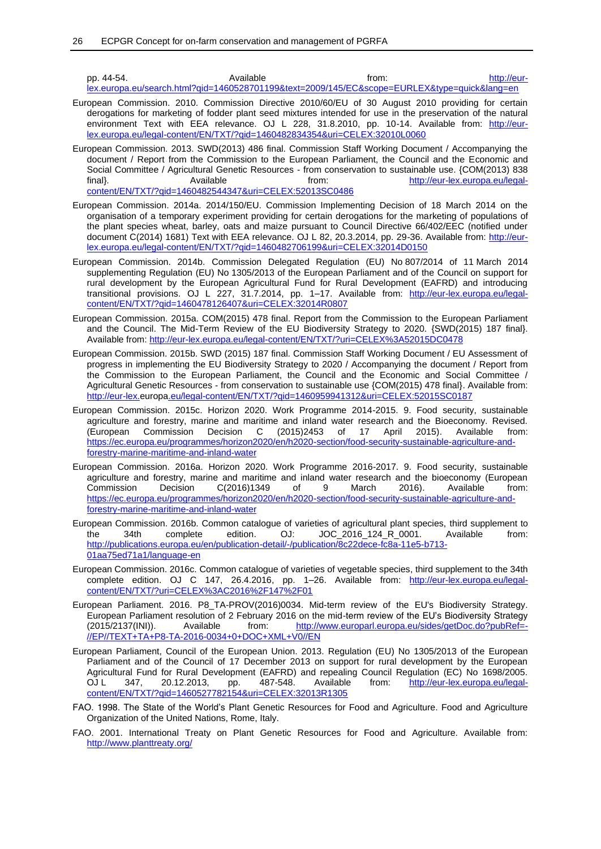pp. 44-54. Available from: [http://eur](http://eur-lex.europa.eu/search.html?qid=1460528701199&text=2009/145/EC&scope=EURLEX&type=quick&lang=en)[lex.europa.eu/search.html?qid=1460528701199&text=2009/145/EC&scope=EURLEX&type=quick&lang=en](http://eur-lex.europa.eu/search.html?qid=1460528701199&text=2009/145/EC&scope=EURLEX&type=quick&lang=en)

- European Commission. 2010. Commission Directive 2010/60/EU of 30 August 2010 providing for certain derogations for marketing of fodder plant seed mixtures intended for use in the preservation of the natural environment Text with EEA relevance. OJ L 228, 31.8.2010, pp. 10-14. Available from: [http://eur](http://eur-lex.europa.eu/legal-content/EN/TXT/?qid=1460482834354&uri=CELEX:32010L0060)[lex.europa.eu/legal-content/EN/TXT/?qid=1460482834354&uri=CELEX:32010L0060](http://eur-lex.europa.eu/legal-content/EN/TXT/?qid=1460482834354&uri=CELEX:32010L0060)
- European Commission. 2013. SWD(2013) 486 final. Commission Staff Working Document / Accompanying the document / Report from the Commission to the European Parliament, the Council and the Economic and Social Committee / Agricultural Genetic Resources - from conservation to sustainable use. {COM(2013) 838 final}. Available from: [http://eur-lex.europa.eu/legal](http://eur-lex.europa.eu/legal-content/EN/TXT/?qid=1460482544347&uri=CELEX:52013SC0486)[content/EN/TXT/?qid=1460482544347&uri=CELEX:52013SC0486](http://eur-lex.europa.eu/legal-content/EN/TXT/?qid=1460482544347&uri=CELEX:52013SC0486)
- European Commission. 2014a. 2014/150/EU. Commission Implementing Decision of 18 March 2014 on the organisation of a temporary experiment providing for certain derogations for the marketing of populations of the plant species wheat, barley, oats and maize pursuant to Council Directive 66/402/EEC (notified under document C(2014) 1681) Text with EEA relevance. OJ L 82, 20.3.2014, pp. 29-36. Available from: [http://eur](http://eur-lex.europa.eu/legal-content/EN/TXT/?qid=1460482706199&uri=CELEX:32014D0150)[lex.europa.eu/legal-content/EN/TXT/?qid=1460482706199&uri=CELEX:32014D0150](http://eur-lex.europa.eu/legal-content/EN/TXT/?qid=1460482706199&uri=CELEX:32014D0150)
- European Commission. 2014b. Commission Delegated Regulation (EU) No 807/2014 of 11 March 2014 supplementing Regulation (EU) No 1305/2013 of the European Parliament and of the Council on support for rural development by the European Agricultural Fund for Rural Development (EAFRD) and introducing transitional provisions. OJ L 227, 31.7.2014, pp. 1–17. Available from: [http://eur-lex.europa.eu/legal](http://eur-lex.europa.eu/legal-content/EN/TXT/?qid=1460478126407&uri=CELEX:32014R0807)[content/EN/TXT/?qid=1460478126407&uri=CELEX:32014R0807](http://eur-lex.europa.eu/legal-content/EN/TXT/?qid=1460478126407&uri=CELEX:32014R0807)
- European Commission. 2015a. COM(2015) 478 final. Report from the Commission to the European Parliament and the Council. The Mid-Term Review of the EU Biodiversity Strategy to 2020. {SWD(2015) 187 final}. Available from:<http://eur-lex.europa.eu/legal-content/EN/TXT/?uri=CELEX%3A52015DC0478>
- European Commission. 2015b. SWD (2015) 187 final. Commission Staff Working Document / EU Assessment of progress in implementing the EU Biodiversity Strategy to 2020 / Accompanying the document / Report from the Commission to the European Parliament, the Council and the Economic and Social Committee / Agricultural Genetic Resources - from conservation to sustainable use {COM(2015) 478 final}. Available from: <http://eur-lex.europa.eu/legal-content/EN/TXT/?qid=1460959941312&uri=CELEX:52015SC0187>
- European Commission. 2015c. Horizon 2020. Work Programme 2014-2015. 9. Food security, sustainable agriculture and forestry, marine and maritime and inland water research and the Bioeconomy. Revised. (European Commission Decision C (2015)2453 of 17 April 2015). Available from: [https://ec.europa.eu/programmes/horizon2020/en/h2020-section/food-security-sustainable-agriculture-and](https://ec.europa.eu/programmes/horizon2020/en/h2020-section/food-security-sustainable-agriculture-and-forestry-marine-maritime-and-inland-water)[forestry-marine-maritime-and-inland-water](https://ec.europa.eu/programmes/horizon2020/en/h2020-section/food-security-sustainable-agriculture-and-forestry-marine-maritime-and-inland-water)
- European Commission. 2016a. Horizon 2020. Work Programme 2016-2017. 9. Food security, sustainable agriculture and forestry, marine and maritime and inland water research and the bioeconomy (European Commission Decision C(2016)1349 of 9 March 2016). Available from: [https://ec.europa.eu/programmes/horizon2020/en/h2020-section/food-security-sustainable-agriculture-and](https://ec.europa.eu/programmes/horizon2020/en/h2020-section/food-security-sustainable-agriculture-and-forestry-marine-maritime-and-inland-water)[forestry-marine-maritime-and-inland-water](https://ec.europa.eu/programmes/horizon2020/en/h2020-section/food-security-sustainable-agriculture-and-forestry-marine-maritime-and-inland-water)
- European Commission. 2016b. Common catalogue of varieties of agricultural plant species, third supplement to the 34th complete edition. OJ: JOC\_2016\_124\_R\_0001. Available from: [http://publications.europa.eu/en/publication-detail/-/publication/8c22dece-fc8a-11e5-b713-](http://publications.europa.eu/en/publication-detail/-/publication/8c22dece-fc8a-11e5-b713-01aa75ed71a1/language-en) [01aa75ed71a1/language-en](http://publications.europa.eu/en/publication-detail/-/publication/8c22dece-fc8a-11e5-b713-01aa75ed71a1/language-en)
- European Commission. 2016c. Common catalogue of varieties of vegetable species, third supplement to the 34th complete edition. OJ C 147, 26.4.2016, pp. 1–26. Available from: http://eur-lex.europa.eu/legalcontent/EN/TXT/?uri=CELEX%3AC2016%2F147%2F01
- European Parliament. 2016. P8\_TA-PROV(2016)0034. Mid-term review of the EU's Biodiversity Strategy. European Parliament resolution of 2 February 2016 on the mid-term review of the EU's Biodiversity Strategy (2015/2137(INI)). Available from: [http://www.europarl.europa.eu/sides/getDoc.do?pubRef=-](http://www.europarl.europa.eu/sides/getDoc.do?pubRef=-//EP//TEXT+TA+P8-TA-2016-0034+0+DOC+XML+V0//EN) [//EP//TEXT+TA+P8-TA-2016-0034+0+DOC+XML+V0//EN](http://www.europarl.europa.eu/sides/getDoc.do?pubRef=-//EP//TEXT+TA+P8-TA-2016-0034+0+DOC+XML+V0//EN)
- European Parliament, Council of the European Union. 2013. Regulation (EU) No 1305/2013 of the European Parliament and of the Council of 17 December 2013 on support for rural development by the European Agricultural Fund for Rural Development (EAFRD) and repealing Council Regulation (EC) No 1698/2005.<br>OJ L 347, 20.12.2013, pp. 487-548. Available from: http://eur-lex.europa.eu/legalOJ L 347, 20.12.2013, pp. 487-548. Available from: [http://eur-lex.europa.eu/legal](http://eur-lex.europa.eu/legal-content/EN/TXT/?qid=1460527782154&uri=CELEX:32013R1305)[content/EN/TXT/?qid=1460527782154&uri=CELEX:32013R1305](http://eur-lex.europa.eu/legal-content/EN/TXT/?qid=1460527782154&uri=CELEX:32013R1305)
- FAO. 1998. The State of the World's Plant Genetic Resources for Food and Agriculture. Food and Agriculture Organization of the United Nations, Rome, Italy.
- FAO. 2001. International Treaty on Plant Genetic Resources for Food and Agriculture. Available from: <http://www.planttreaty.org/>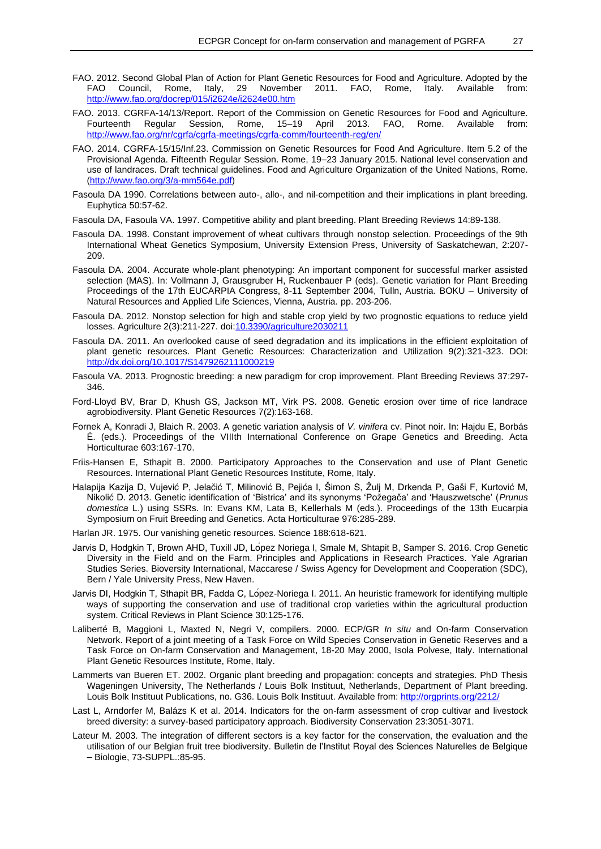- FAO. 2012. Second Global Plan of Action for Plant Genetic Resources for Food and Agriculture. Adopted by the FAO Council, Rome, Italy, 29 November 2011. FAO, Rome, Italy. Available from: <http://www.fao.org/docrep/015/i2624e/i2624e00.htm>
- FAO. 2013. CGRFA-14/13/Report. Report of the Commission on Genetic Resources for Food and Agriculture. Fourteenth Regular Session, Rome, 15–19 April 2013. FAO, Rome. Available from: <http://www.fao.org/nr/cgrfa/cgrfa-meetings/cgrfa-comm/fourteenth-reg/en/>
- FAO. 2014. CGRFA-15/15/Inf.23. Commission on Genetic Resources for Food And Agriculture. Item 5.2 of the Provisional Agenda. Fifteenth Regular Session. Rome, 19–23 January 2015. National level conservation and use of landraces. Draft technical guidelines. Food and Agriculture Organization of the United Nations, Rome. [\(http://www.fao.org/3/a-mm564e.pdf\)](http://www.fao.org/3/a-mm564e.pdf)
- Fasoula DA 1990. Correlations between auto-, allo-, and nil-competition and their implications in plant breeding. Euphytica 50:57-62.
- Fasoula DA, Fasoula VA. 1997. Competitive ability and plant breeding. Plant Breeding Reviews 14:89-138.
- Fasoula DA. 1998. Constant improvement of wheat cultivars through nonstop selection. Proceedings of the 9th International Wheat Genetics Symposium, University Extension Press, University of Saskatchewan, 2:207- 209.
- Fasoula DA. 2004. Accurate whole-plant phenotyping: An important component for successful marker assisted selection (MAS). In: Vollmann J, Grausgruber H, Ruckenbauer P (eds). Genetic variation for Plant Breeding Proceedings of the 17th EUCARPIA Congress, 8-11 September 2004, Tulln, Austria. BOKU – University of Natural Resources and Applied Life Sciences, Vienna, Austria. pp. 203-206.
- Fasoula DA. 2012. Nonstop selection for high and stable crop yield by two prognostic equations to reduce yield losses. Agriculture 2(3):211-227. doi[:10.3390/agriculture2030211](http://dx.doi.org/10.3390/agriculture2030211)
- Fasoula DA. 2011. An overlooked cause of seed degradation and its implications in the efficient exploitation of plant genetic resources. Plant Genetic Resources: Characterization and Utilization 9(2):321-323. DOI: <http://dx.doi.org/10.1017/S1479262111000219>
- Fasoula VA. 2013. Prognostic breeding: a new paradigm for crop improvement. Plant Breeding Reviews 37:297- 346.
- Ford-Lloyd BV, Brar D, Khush GS, Jackson MT, Virk PS. 2008. Genetic erosion over time of rice landrace agrobiodiversity. Plant Genetic Resources 7(2):163-168.
- Fornek A, Konradi J, Blaich R. 2003. A genetic variation analysis of *V. vinifera* cv. Pinot noir. In: Hajdu E, Borbás É. (eds.). Proceedings of the VIIIth International Conference on Grape Genetics and Breeding. Acta Horticulturae 603:167-170.
- Friis-Hansen E, Sthapit B. 2000. Participatory Approaches to the Conservation and use of Plant Genetic Resources. International Plant Genetic Resources Institute, Rome, Italy.
- Halapija Kazija D, Vujević P, Jelačić T, Milinović B, Pejića I, Šimon S, Žulj M, Drkenda P, Gaši F, Kurtović M, Nikolić D. 2013. Genetic identification of 'Bistrica' and its synonyms 'Požegača' and 'Hauszwetsche' (*Prunus domestica* L.) using SSRs. In: Evans KM, Lata B, Kellerhals M (eds.). Proceedings of the 13th Eucarpia Symposium on Fruit Breeding and Genetics. Acta Horticulturae 976:285-289.
- Harlan JR. 1975. Our vanishing genetic resources. Science 188:618-621.
- Jarvis D, Hodgkin T, Brown AHD, Tuxill JD, López Noriega I, Smale M, Shtapit B, Samper S. 2016. Crop Genetic Diversity in the Field and on the Farm. Principles and Applications in Research Practices. Yale Agrarian Studies Series. Bioversity International, Maccarese / Swiss Agency for Development and Cooperation (SDC), Bern / Yale University Press, New Haven.
- Jarvis DI, Hodgkin T, Sthapit BR, Fadda C, López-Noriega I. 2011. An heuristic framework for identifying multiple ways of supporting the conservation and use of traditional crop varieties within the agricultural production system. Critical Reviews in Plant Science 30:125-176.
- Laliberté B, Maggioni L, Maxted N, Negri V, compilers. 2000. ECP/GR *In situ* and On-farm Conservation Network. Report of a joint meeting of a Task Force on Wild Species Conservation in Genetic Reserves and a Task Force on On-farm Conservation and Management, 18-20 May 2000, Isola Polvese, Italy. International Plant Genetic Resources Institute, Rome, Italy.
- Lammerts van Bueren ET. 2002. Organic plant breeding and propagation: concepts and strategies. PhD Thesis Wageningen University, The Netherlands / Louis Bolk Instituut, Netherlands, Department of Plant breeding. Louis Bolk Instituut Publications, no. G36. Louis Bolk Instituut. Available from: <http://orgprints.org/2212/>
- Last L, Arndorfer M, Balázs K et al. 2014. Indicators for the on-farm assessment of crop cultivar and livestock breed diversity: a survey-based participatory approach. Biodiversity Conservation 23:3051-3071.
- Lateur M. 2003. The integration of different sectors is a key factor for the conservation, the evaluation and the utilisation of our Belgian fruit tree biodiversity. Bulletin de l'Institut Royal des Sciences Naturelles de Belgique – Biologie, 73-SUPPL.:85-95.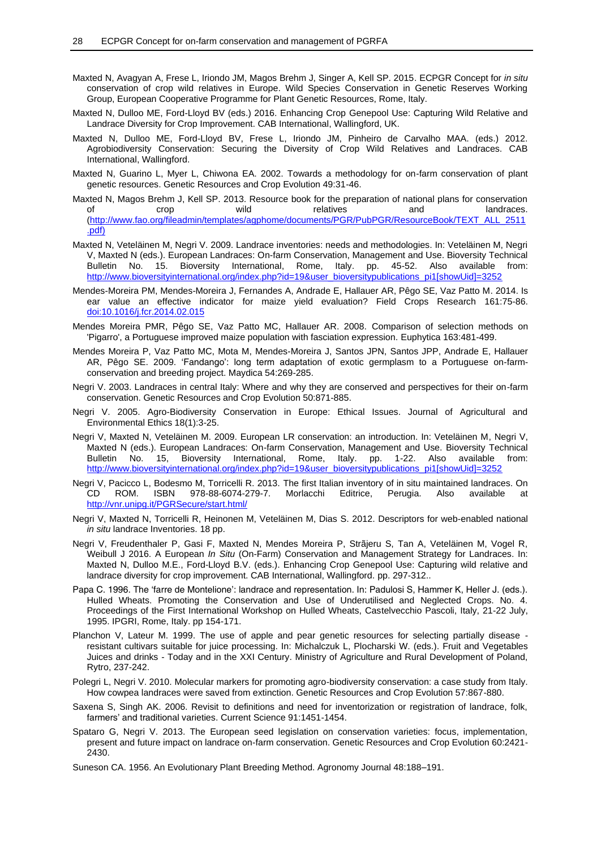- Maxted N, Avagyan A, Frese L, Iriondo JM, Magos Brehm J, Singer A, Kell SP. 2015. ECPGR Concept for *in situ* conservation of crop wild relatives in Europe. Wild Species Conservation in Genetic Reserves Working Group, European Cooperative Programme for Plant Genetic Resources, Rome, Italy.
- Maxted N, Dulloo ME, Ford-Lloyd BV (eds.) 2016. Enhancing Crop Genepool Use: Capturing Wild Relative and Landrace Diversity for Crop Improvement. CAB International, Wallingford, UK.
- Maxted N, Dulloo ME, Ford-Lloyd BV, Frese L, Iriondo JM, Pinheiro de Carvalho MAA. (eds.) 2012. Agrobiodiversity Conservation: Securing the Diversity of Crop Wild Relatives and Landraces. CAB International, Wallingford.
- Maxted N, Guarino L, Myer L, Chiwona EA. 2002. Towards a methodology for on-farm conservation of plant genetic resources. Genetic Resources and Crop Evolution 49:31-46.
- Maxted N, Magos Brehm J, Kell SP. 2013. Resource book for the preparation of national plans for conservation of crop wild relatives and landraces. [\(http://www.fao.org/fileadmin/templates/agphome/documents/PGR/PubPGR/ResourceBook/TEXT\\_ALL\\_2511](http://www.fao.org/fileadmin/templates/agphome/documents/PGR/PubPGR/ResourceBook/TEXT_ALL_2511.pdf) [.pdf\)](http://www.fao.org/fileadmin/templates/agphome/documents/PGR/PubPGR/ResourceBook/TEXT_ALL_2511.pdf)
- Maxted N, Veteläinen M, Negri V. 2009. Landrace inventories: needs and methodologies. In: Veteläinen M, Negri V, Maxted N (eds.). European Landraces: On-farm Conservation, Management and Use. Bioversity Technical Bulletin No. 15. Bioversity International, Rome, Italy. pp. 45-52. Also available from: [http://www.bioversityinternational.org/index.php?id=19&user\\_bioversitypublications\\_pi1\[showUid\]=3252](http://www.bioversityinternational.org/index.php?id=19&user_bioversitypublications_pi1%5bshowUid%5d=3252)
- Mendes-Moreira PM, Mendes-Moreira J, Fernandes A, Andrade E, Hallauer AR, Pêgo SE, Vaz Patto M. 2014. Is ear value an effective indicator for maize yield evaluation? Field Crops Research 161:75-86. [doi:10.1016/j.fcr.2014.02.015](http://dx.doi.org/10.1016/j.fcr.2014.02.015)
- Mendes Moreira PMR, Pêgo SE, Vaz Patto MC, Hallauer AR. 2008. Comparison of selection methods on 'Pigarro', a Portuguese improved maize population with fasciation expression. Euphytica 163:481-499.
- Mendes Moreira P, Vaz Patto MC, Mota M, Mendes-Moreira J, Santos JPN, Santos JPP, Andrade E, Hallauer AR, Pêgo SE. 2009. 'Fandango': long term adaptation of exotic germplasm to a Portuguese on-farmconservation and breeding project. Maydica 54:269-285.
- Negri V. 2003. Landraces in central Italy: Where and why they are conserved and perspectives for their on-farm conservation. Genetic Resources and Crop Evolution 50:871-885.
- Negri V. 2005. Agro-Biodiversity Conservation in Europe: Ethical Issues. Journal of Agricultural and Environmental Ethics 18(1):3-25.
- Negri V, Maxted N, Veteläinen M. 2009. European LR conservation: an introduction. In: Veteläinen M, Negri V, Maxted N (eds.). European Landraces: On-farm Conservation, Management and Use. Bioversity Technical Bulletin No. 15, Bioversity International, Rome, Italy. pp. 1-22. Also available from: [http://www.bioversityinternational.org/index.php?id=19&user\\_bioversitypublications\\_pi1\[showUid\]=3252](http://www.bioversityinternational.org/index.php?id=19&user_bioversitypublications_pi1%5bshowUid%5d=3252)
- Negri V, Pacicco L, Bodesmo M, Torricelli R. 2013. The first Italian inventory of in situ maintained landraces. On CD ROM. ISBN 978-88-6074-279-7. Morlacchi Editrice. Perugia. Also available at CD ROM. ISBN 978-88-6074-279-7. Morlacchi Editrice, Perugia. Also available at <http://vnr.unipg.it/PGRSecure/start.html/>
- Negri V, Maxted N, Torricelli R, Heinonen M, Veteläinen M, Dias S. 2012. Descriptors for web-enabled national *in situ* landrace Inventories. 18 pp.
- Negri V, Freudenthaler P, Gasi F, Maxted N, Mendes Moreira P, Strãjeru S, Tan A, Veteläinen M, Vogel R, Weibull J 2016. A European *In Situ* (On-Farm) Conservation and Management Strategy for Landraces. In: Maxted N, Dulloo M.E., Ford-Lloyd B.V. (eds.). Enhancing Crop Genepool Use: Capturing wild relative and landrace diversity for crop improvement. CAB International, Wallingford. pp. 297-312..
- Papa C. 1996. The 'farre de Montelione': landrace and representation. In: Padulosi S, Hammer K, Heller J. (eds.). Hulled Wheats. Promoting the Conservation and Use of Underutilised and Neglected Crops. No. 4. Proceedings of the First International Workshop on Hulled Wheats, Castelvecchio Pascoli, Italy, 21-22 July, 1995. IPGRI, Rome, Italy. pp 154-171.
- Planchon V, Lateur M. 1999. The use of apple and pear genetic resources for selecting partially disease resistant cultivars suitable for juice processing. In: Michalczuk L, Plocharski W. (eds.). Fruit and Vegetables Juices and drinks - Today and in the XXI Century. Ministry of Agriculture and Rural Development of Poland, Rytro, 237-242.
- Polegri L, Negri V. 2010. Molecular markers for promoting agro-biodiversity conservation: a case study from Italy. How cowpea landraces were saved from extinction. Genetic Resources and Crop Evolution 57:867-880.
- Saxena S, Singh AK. 2006. Revisit to definitions and need for inventorization or registration of landrace, folk, farmers' and traditional varieties. Current Science 91:1451-1454.
- Spataro G, Negri V. 2013. The European seed legislation on conservation varieties: focus, implementation, present and future impact on landrace on-farm conservation. Genetic Resources and Crop Evolution 60:2421- 2430.
- Suneson CA. 1956. An Evolutionary Plant Breeding Method. Agronomy Journal 48:188–191.